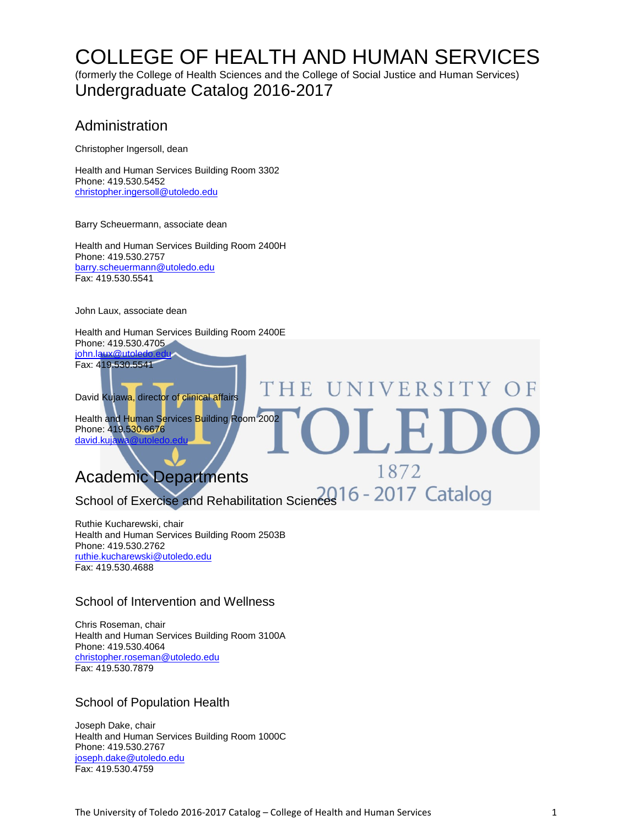## [COLLEGE OF H](http://utoledo.edu/education/)EALTH AND HUMAN SERVICES

(formerly the College of Health Sciences and the College of Social Justice and Human Services) Undergraduate Catalog 2016-2017

### Administration

Christopher Ingersoll, dean

Health and Human Services Building Room 3302 Phone: 419.530.5452 [christopher.ingersoll@utoledo.edu](mailto:christopher.ingersoll@utoledo.edu)

Barry Scheuermann, associate dean

Health and Human Services Building Room 2400H Phone: 419.530.2757 [barry.scheuermann@utoledo.edu](mailto:barbaranne.benjamin@utoledo.edu) Fax: 419.530.5541

John Laux, associate dean

Health and Human Services Building Room 2400E Phone: 419.530.4705 john.laux@utoled Fax: 419.530.5541

David Kujawa, director of clinical affairs

Health and Human Services Building Room 2002 Phone: 419.530.6676 david.kuja

### Academic Departments

School of Exercise and Rehabilitation Sciences 16 - 2017 Catalog

E

VERSITY

1872

Ruthie Kucharewski, chair Health and Human Services Building Room 2503B Phone: 419.530.2762 [ruthie.kucharewski@utoledo.edu](mailto:ruthie.kucharewski@utoledo.edu) Fax: 419.530.4688

### School of Intervention and Wellness

Chris Roseman, chair Health and Human Services Building Room 3100A Phone: 419.530.4064 [christopher.roseman@utoledo.edu](mailto:christopher.roseman@utoledo.edu) Fax: 419.530.7879

### School of Population Health

Joseph Dake, chair Health and Human Services Building Room 1000C Phone: 419.530.2767 [joseph.dake@utoledo.edu](mailto:joseph.dake@utoledo.edu) Fax: 419.530.4759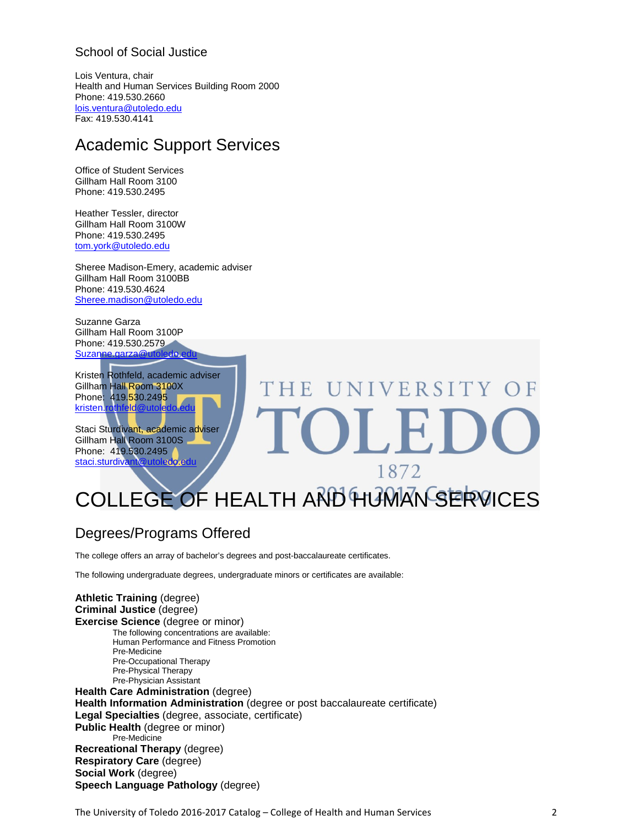### School of Social Justice

Lois Ventura, chair Health and Human Services Building Room 2000 Phone: 419.530.2660 [lois.ventura@utoledo.edu](mailto:lois.ventura@utoledo.edu) Fax: 419.530.4141

### Academic Support Services

Office of Student Services Gillham Hall Room 3100 Phone: 419.530.2495

Heather Tessler, director Gillham Hall Room 3100W Phone: 419.530.2495 [tom.york@utoledo.edu](mailto:tom.york@utoledo.edu)

Sheree Madison-Emery, academic adviser Gillham Hall Room 3100BB Phone: 419.530.4624 [Sheree.madison@utoledo.edu](mailto:Sheree.madison@utoledo.edu)

Suzanne Garza Gillham Hall Room 3100P Phone: 419.530.2579 [Suzanne.garza@utoledo.edu](mailto:Suzanne.garza@utoledo.edu)

Kristen Rothfeld, academic adviser Gillham Hall Room 3100X Phone: 419.530.249<mark>5</mark> kristen.rothfeld

Staci Sturdivant, academic adviser Gillham Hall Room 3100S Phone: 419.530.2495 staci.sturdiva

# UNIVERSITY OF THE 1872

## [COLLEGE OF H](http://utoledo.edu/education/)EALTH AND HUMAN SERVICES

### Degrees/Programs Offered

The college offers an array of bachelor's degrees and post-baccalaureate certificates.

The following undergraduate degrees, undergraduate minors or certificates are available:

**Athletic Training** (degree) **Criminal Justice** (degree) **Exercise Science** (degree or minor) The following concentrations are available: Human Performance and Fitness Promotion Pre-Medicine Pre-Occupational Therapy Pre-Physical Therapy Pre-Physician Assistant **Health Care Administration** (degree) **Health Information Administration** (degree or post baccalaureate certificate) **Legal Specialties** (degree, associate, certificate) **Public Health** (degree or minor) Pre-Medicine **Recreational Therapy** (degree) **Respiratory Care** (degree) **Social Work** (degree) **Speech Language Pathology** (degree)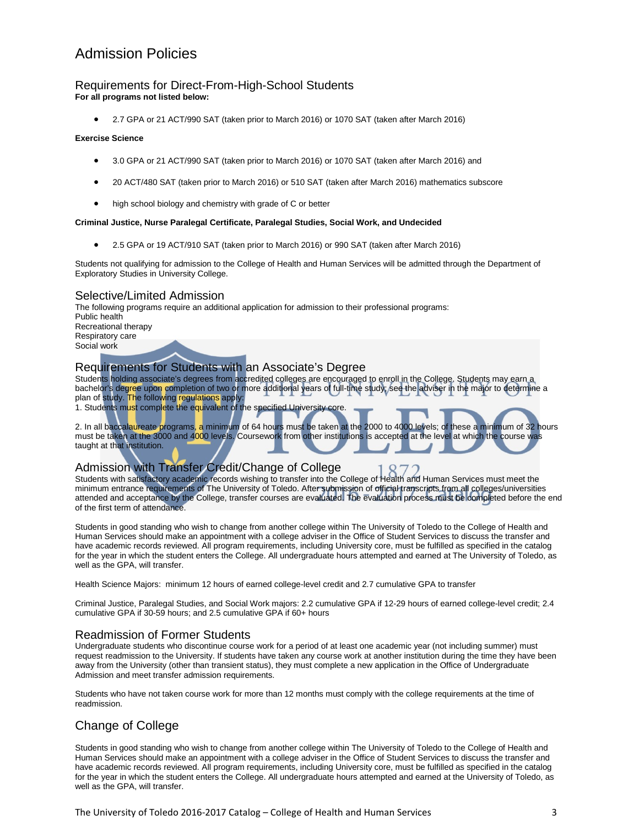### Admission Policies

#### Requirements for Direct-From-High-School Students **For all programs not listed below:**

• 2.7 GPA or 21 ACT/990 SAT (taken prior to March 2016) or 1070 SAT (taken after March 2016)

#### **Exercise Science**

- 3.0 GPA or 21 ACT/990 SAT (taken prior to March 2016) or 1070 SAT (taken after March 2016) and
- 20 ACT/480 SAT (taken prior to March 2016) or 510 SAT (taken after March 2016) mathematics subscore
- high school biology and chemistry with grade of C or better

#### **Criminal Justice, Nurse Paralegal Certificate, Paralegal Studies, Social Work, and Undecided**

• 2.5 GPA or 19 ACT/910 SAT (taken prior to March 2016) or 990 SAT (taken after March 2016)

Students not qualifying for admission to the College of Health and Human Services will be admitted through the Department of Exploratory Studies in University College.

#### Selective/Limited Admission

The following programs require an additional application for admission to their professional programs: Public health Recreational therapy Respiratory care Social work

#### Requirements for Students with an Associate's Degree

Students holding associate's degrees from accredited colleges are encouraged to enroll in the College. Students may earn a bachelor's degree upon completion of two or more additional years of full-time study; see the adviser in the major to determine a plan of study. The following regulations apply:

1. Students must complete the equivalent of the specified University core.

2. In all baccalaureate programs, a minimum of 64 hours must be taken at the 2000 to 4000 levels; of these a minimum of 32 hours must be taken at the 3000 and 4000 levels. Coursework from other institutions is accepted at the level at which the course was taught at that institution.

### Admission with Transfer Credit/Change of College

Students with satisfactory academic records wishing to transfer into the College of Health and Human Services must meet the minimum entrance requirements of The University of Toledo. After submission of official transcripts from all colleges/universities attended and acceptance by the College, transfer courses are evaluated. The evaluation process must be completed before the end of the first term of attendance.

Students in good standing who wish to change from another college within The University of Toledo to the College of Health and Human Services should make an appointment with a college adviser in the Office of Student Services to discuss the transfer and have academic records reviewed. All program requirements, including University core, must be fulfilled as specified in the catalog for the year in which the student enters the College. All undergraduate hours attempted and earned at The University of Toledo, as well as the GPA, will transfer.

Health Science Majors: minimum 12 hours of earned college-level credit and 2.7 cumulative GPA to transfer

Criminal Justice, Paralegal Studies, and Social Work majors: 2.2 cumulative GPA if 12-29 hours of earned college-level credit; 2.4 cumulative GPA if 30-59 hours; and 2.5 cumulative GPA if 60+ hours

#### Readmission of Former Students

Undergraduate students who discontinue course work for a period of at least one academic year (not including summer) must request readmission to the University. If students have taken any course work at another institution during the time they have been away from the University (other than transient status), they must complete a new application in the Office of Undergraduate Admission and meet transfer admission requirements.

Students who have not taken course work for more than 12 months must comply with the college requirements at the time of readmission.

### Change of College

Students in good standing who wish to change from another college within The University of Toledo to the College of Health and Human Services should make an appointment with a college adviser in the Office of Student Services to discuss the transfer and have academic records reviewed. All program requirements, including University core, must be fulfilled as specified in the catalog for the year in which the student enters the College. All undergraduate hours attempted and earned at the University of Toledo, as well as the GPA, will transfer.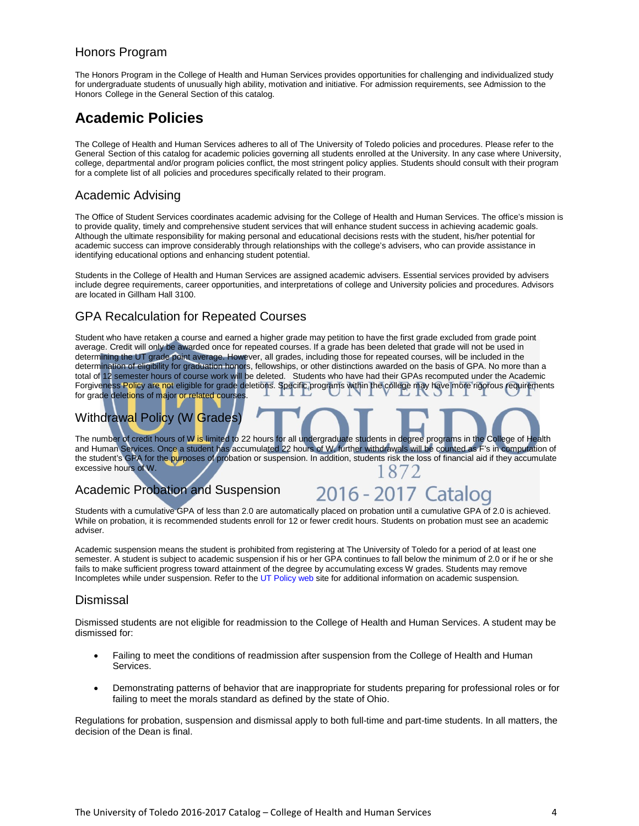### Honors Program

The Honors Program in the College of Health and Human Services provides opportunities for challenging and individualized study for undergraduate students of unusually high ability, motivation and initiative. For admission requirements, see Admission to the Honors College in the General Section of this catalog.

### **Academic Policies**

The College of Health and Human Services adheres to all of The University of Toledo policies and procedures. Please refer to the General Section of this catalog for academic policies governing all students enrolled at the University. In any case where University, college, departmental and/or program policies conflict, the most stringent policy applies. Students should consult with their program for a complete list of all policies and procedures specifically related to their program.

### Academic Advising

The Office of Student Services coordinates academic advising for the College of Health and Human Services. The office's mission is to provide quality, timely and comprehensive student services that will enhance student success in achieving academic goals. Although the ultimate responsibility for making personal and educational decisions rests with the student, his/her potential for academic success can improve considerably through relationships with the college's advisers, who can provide assistance in identifying educational options and enhancing student potential.

Students in the College of Health and Human Services are assigned academic advisers. Essential services provided by advisers include degree requirements, career opportunities, and interpretations of college and University policies and procedures. Advisors are located in Gillham Hall 3100.

### GPA Recalculation for Repeated Courses

Student who have retaken a course and earned a higher grade may petition to have the first grade excluded from grade point average. Credit will only be awarded once for repeated courses. If a grade has been deleted that grade will not be used in determining the UT grade point average. However, all grades, including those for repeated courses, will be included in the determination of eligibility for graduation honors, fellowships, or other distinctions awarded on the basis of GPA. No more than a total of 12 semester hours of course work will be deleted. Students who have had their GPAs recomputed under the Academic Forgiveness Policy are not eligible for grade deletions. Specific programs within the college may have more rigorous requirements for grade deletions of major or related courses

### Withdrawal Policy (W Grades)

The number of credit hours of W is limited to 22 hours for all undergraduate students in degree programs in the College of Health and Human Services. Once a student has accumulated 22 hours of W, further withdrawals will be counted as F's in computation of the student's GPA for the purposes of probation or suspension. In addition, students risk the loss of financial aid if they accumulate excessive hours of W. 1872

### Academic Probation and Suspension

2016 - 2017 Catalog

Students with a cumulative GPA of less than 2.0 are automatically placed on probation until a cumulative GPA of 2.0 is achieved. While on probation, it is recommended students enroll for 12 or fewer credit hours. Students on probation must see an academic adviser.

Academic suspension means the student is prohibited from registering at The University of Toledo for a period of at least one semester. A student is subject to academic suspension if his or her GPA continues to fall below the minimum of 2.0 or if he or she fails to make sufficient progress toward attainment of the degree by accumulating excess W grades. Students may remove Incompletes while under suspension. Refer to th[e UT Policy web](http://utoledo.edu/policies/) site for additional information on academic suspension.

### Dismissal

Dismissed students are not eligible for readmission to the College of Health and Human Services. A student may be dismissed for:

- Failing to meet the conditions of readmission after suspension from the College of Health and Human Services.
- Demonstrating patterns of behavior that are inappropriate for students preparing for professional roles or for failing to meet the morals standard as defined by the state of Ohio.

Regulations for probation, suspension and dismissal apply to both full-time and part-time students. In all matters, the decision of the Dean is final.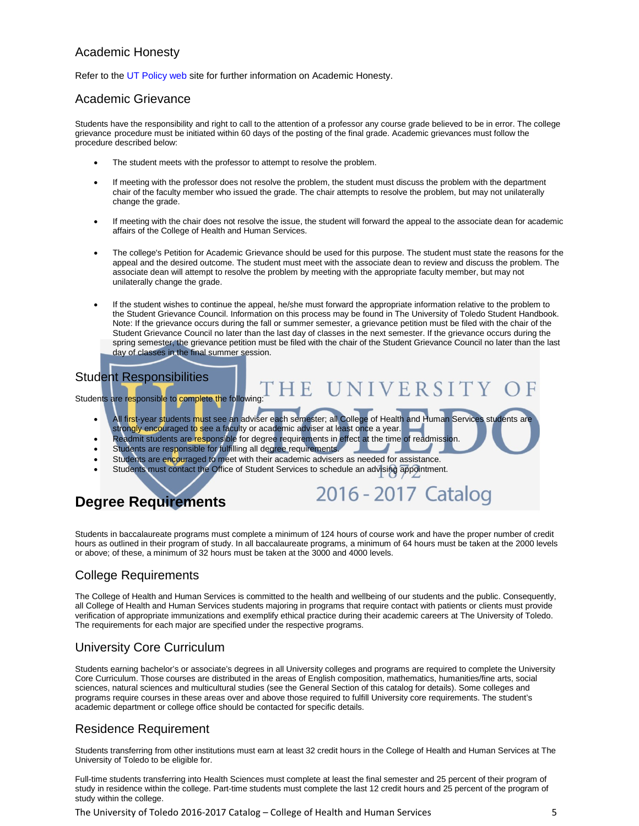### Academic Honesty

Refer to th[e UT Policy web](http://utoledo.edu/policies/) site for further information on Academic Honesty.

### Academic Grievance

Students have the responsibility and right to call to the attention of a professor any course grade believed to be in error. The college grievance procedure must be initiated within 60 days of the posting of the final grade. Academic grievances must follow the procedure described below:

- The student meets with the professor to attempt to resolve the problem.
- If meeting with the professor does not resolve the problem, the student must discuss the problem with the department chair of the faculty member who issued the grade. The chair attempts to resolve the problem, but may not unilaterally change the grade.
- If meeting with the chair does not resolve the issue, the student will forward the appeal to the associate dean for academic affairs of the College of Health and Human Services.
- The college's Petition for Academic Grievance should be used for this purpose. The student must state the reasons for the appeal and the desired outcome. The student must meet with the associate dean to review and discuss the problem. The associate dean will attempt to resolve the problem by meeting with the appropriate faculty member, but may not unilaterally change the grade.
- If the student wishes to continue the appeal, he/she must forward the appropriate information relative to the problem to the Student Grievance Council. Information on this process may be found in The University of Toledo Student Handbook. Note: If the grievance occurs during the fall or summer semester, a grievance petition must be filed with the chair of the Student Grievance Council no later than the last day of classes in the next semester. If the grievance occurs during the spring semester, the grievance petition must be filed with the chair of the Student Grievance Council no later than the last day of classes in the final summer session.

UNIVERSITY

2016 - 2017 Catalog

### Student Responsibilities

Students are responsible to complete the following:

• All first-year students must see an adviser each semester; all College of Health and Human Services students are strongly encouraged to see a faculty or academic adviser at least once a year.

**HE** 

- Readmit students are responsible for degree requirements in effect at the time of readmission.
- Students are responsible for fulfilling all degree requirements.
- Students are encouraged to meet with their academic advisers as needed for assistance.
- Students must contact the Office of Student Services to schedule an advising appointment.

### **Degree Requirements**

Students in baccalaureate programs must complete a minimum of 124 hours of course work and have the proper number of credit hours as outlined in their program of study. In all baccalaureate programs, a minimum of 64 hours must be taken at the 2000 levels or above; of these, a minimum of 32 hours must be taken at the 3000 and 4000 levels.

### College Requirements

The College of Health and Human Services is committed to the health and wellbeing of our students and the public. Consequently, all College of Health and Human Services students majoring in programs that require contact with patients or clients must provide verification of appropriate immunizations and exemplify ethical practice during their academic careers at The University of Toledo. The requirements for each major are specified under the respective programs.

### University Core Curriculum

Students earning bachelor's or associate's degrees in all University colleges and programs are required to complete the University Core Curriculum. Those courses are distributed in the areas of English composition, mathematics, humanities/fine arts, social sciences, natural sciences and multicultural studies (see the General Section of this catalog for details). Some colleges and programs require courses in these areas over and above those required to fulfill University core requirements. The student's academic department or college office should be contacted for specific details.

### Residence Requirement

Students transferring from other institutions must earn at least 32 credit hours in the College of Health and Human Services at The University of Toledo to be eligible for.

Full-time students transferring into Health Sciences must complete at least the final semester and 25 percent of their program of study in residence within the college. Part-time students must complete the last 12 credit hours and 25 percent of the program of study within the college.

The University of Toledo 2016-2017 Catalog – College of Health and Human Services 5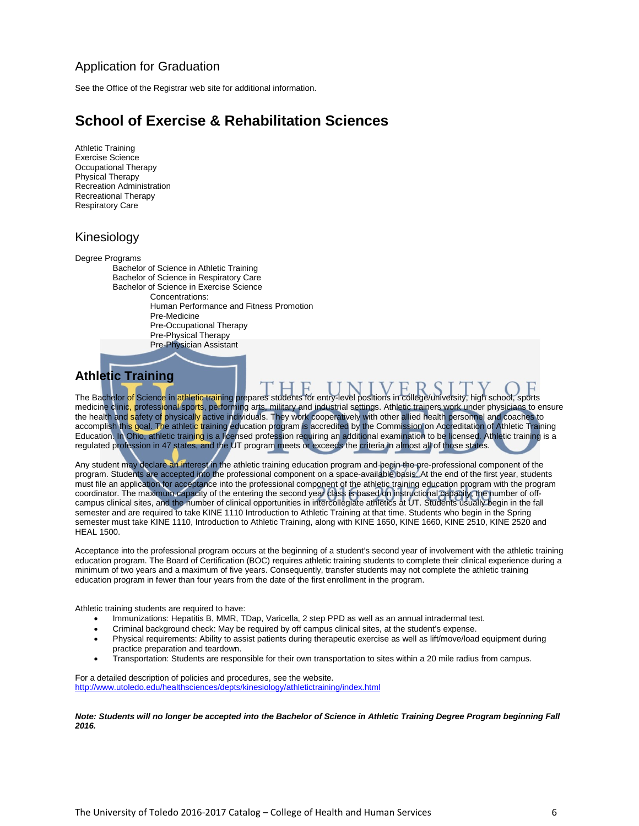### Application for Graduation

See the Office of the Registrar web site for additional information.

### **School of Exercise & Rehabilitation Sciences**

Athletic Training Exercise Science Occupational Therapy Physical Therapy Recreation Administration Recreational Therapy Respiratory Care

### Kinesiology

Degree Programs

Bachelor of Science in Athletic Training Bachelor of Science in Respiratory Care Bachelor of Science in Exercise Science Concentrations: Human Performance and Fitness Promotion Pre-Medicine Pre-Occupational Therapy Pre-Physical Therapy Pre-Physician Assistant

### **Athletic Training**

The Bachelor of Science in athletic training prepares students for entry-level positions in college/university, high school, sports medicine clinic, professional sports, performing arts, military and industrial settings. Athletic trainers work under physicians to ensure the health and safety of physically active individuals. They work cooperatively with other allied health personnel and coaches to accomplish this goal. The athletic training education program is accredited by the Commission on Accreditation of Athletic Training Education. In Ohio, athletic training is a licensed profession requiring an additional examination to be licensed. Athletic training is a regulated profession in 47 states, and the UT program meets or exceeds the criteria in almost all of those states.

Any student may declare an interest in the athletic training education program and begin the pre-professional component of the program. Students are accepted into the professional component on a space-available basis. At the end of the first year, students must file an application for acceptance into the professional component of the athletic training education program with the program coordinator. The maximum capacity of the entering the second year class is based on instructional capacity, the number of offcampus clinical sites, and the number of clinical opportunities in intercollegiate athletics at UT. Students usually begin in the fall semester and are required to take KINE 1110 Introduction to Athletic Training at that time. Students who begin in the Spring semester must take KINE 1110, Introduction to Athletic Training, along with KINE 1650, KINE 1660, KINE 2510, KINE 2520 and HEAL 1500.

Acceptance into the professional program occurs at the beginning of a student's second year of involvement with the athletic training education program. The Board of Certification (BOC) requires athletic training students to complete their clinical experience during a minimum of two years and a maximum of five years. Consequently, transfer students may not complete the athletic training education program in fewer than four years from the date of the first enrollment in the program.

Athletic training students are required to have:

- Immunizations: Hepatitis B, MMR, TDap, Varicella, 2 step PPD as well as an annual intradermal test.
- Criminal background check: May be required by off campus clinical sites, at the student's expense.
- Physical requirements: Ability to assist patients during therapeutic exercise as well as lift/move/load equipment during practice preparation and teardown.
- Transportation: Students are responsible for their own transportation to sites within a 20 mile radius from campus.

For a detailed description of policies and procedures, see the website. <http://www.utoledo.edu/healthsciences/depts/kinesiology/athletictraining/index.html>

*Note: Students will no longer be accepted into the Bachelor of Science in Athletic Training Degree Program beginning Fall 2016.*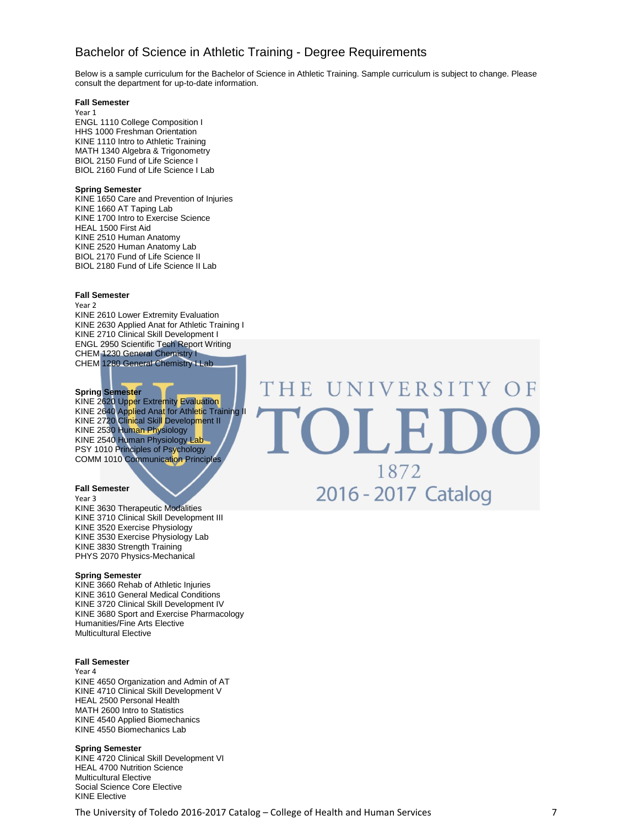### Bachelor of Science in Athletic Training - Degree Requirements

Below is a sample curriculum for the Bachelor of Science in Athletic Training. Sample curriculum is subject to change. Please consult the department for up-to-date information.

#### **Fall Semester**

Year 1

ENGL 1110 College Composition I HHS 1000 Freshman Orientation KINE 1110 Intro to Athletic Training MATH 1340 Algebra & Trigonometry BIOL 2150 Fund of Life Science I BIOL 2160 Fund of Life Science I Lab

#### **Spring Semester**

KINE 1650 Care and Prevention of Injuries KINE 1660 AT Taping Lab KINE 1700 Intro to Exercise Science HEAL 1500 First Aid KINE 2510 Human Anatomy KINE 2520 Human Anatomy Lab BIOL 2170 Fund of Life Science II BIOL 2180 Fund of Life Science II Lab

#### **Fall Semester**

Year 2

KINE 2610 Lower Extremity Evaluation KINE 2630 Applied Anat for Athletic Training I KINE 2710 Clinical Skill Development I ENGL 2950 Scientific Tech Report Writing CHEM 1230 General Chemistry I CHEM 1280 General Chemistry I Lab

#### **Spring Semester**

KINE 2620 Upper Extremity Evaluation KINE 2640 Applied Anat for Athletic Training II KINE 2720 Clinical Skill Development II KINE 2530 Human Physiology KINE 2540 Human Physiology Lab PSY 1010 Principles of Psychology COMM 1010 Communication Principles

#### **Fall Semester**

Year 3 KINE 3630 Therapeutic Modalities KINE 3710 Clinical Skill Development III KINE 3520 Exercise Physiology KINE 3530 Exercise Physiology Lab KINE 3830 Strength Training PHYS 2070 Physics-Mechanical

#### **Spring Semester**

KINE 3660 Rehab of Athletic Injuries KINE 3610 General Medical Conditions KINE 3720 Clinical Skill Development IV KINE 3680 Sport and Exercise Pharmacology Humanities/Fine Arts Elective Multicultural Elective

#### **Fall Semester**

Year 4 KINE 4650 Organization and Admin of AT KINE 4710 Clinical Skill Development V HEAL 2500 Personal Health MATH 2600 Intro to Statistics KINE 4540 Applied Biomechanics KINE 4550 Biomechanics Lab

#### **Spring Semester**

KINE 4720 Clinical Skill Development VI HEAL 4700 Nutrition Science Multicultural Elective Social Science Core Elective KINE Elective

## UNIVERSITY OF THE D I . I 1872 2016 - 2017 Catalog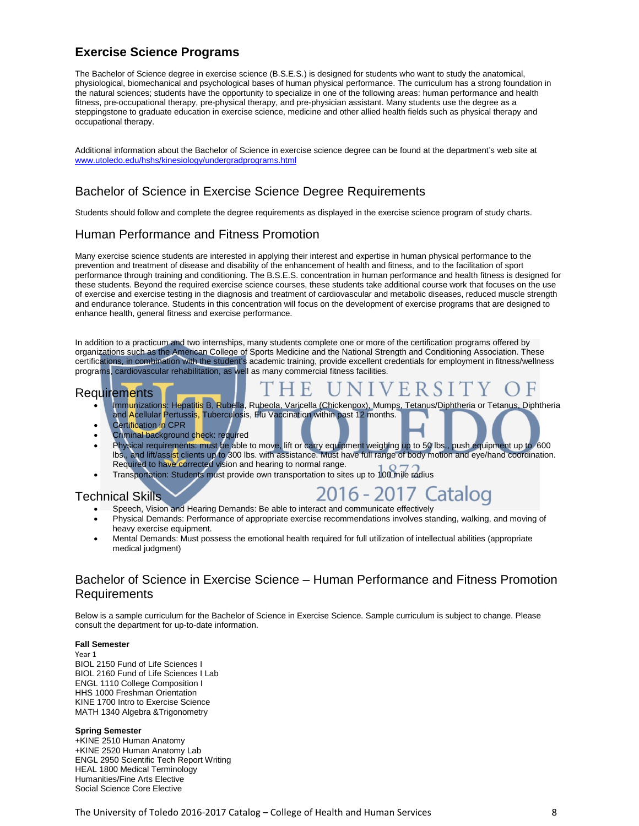### **Exercise Science Programs**

The Bachelor of Science degree in exercise science (B.S.E.S.) is designed for students who want to study the anatomical, physiological, biomechanical and psychological bases of human physical performance. The curriculum has a strong foundation in the natural sciences; students have the opportunity to specialize in one of the following areas: human performance and health fitness, pre-occupational therapy, pre-physical therapy, and pre-physician assistant. Many students use the degree as a steppingstone to graduate education in exercise science, medicine and other allied health fields such as physical therapy and occupational therapy.

Additional information about the Bachelor of Science in exercise science degree can be found at the department's web site at [www.utoledo.edu/hshs/kinesiology/undergradprograms.html](http://www.utoledo.edu/hshs/kinesiology/undergradprograms.html)

### Bachelor of Science in Exercise Science Degree Requirements

Students should follow and complete the degree requirements as displayed in the exercise science program of study charts.

### Human Performance and Fitness Promotion

Many exercise science students are interested in applying their interest and expertise in human physical performance to the prevention and treatment of disease and disability of the enhancement of health and fitness, and to the facilitation of sport performance through training and conditioning. The B.S.E.S. concentration in human performance and health fitness is designed for these students. Beyond the required exercise science courses, these students take additional course work that focuses on the use of exercise and exercise testing in the diagnosis and treatment of cardiovascular and metabolic diseases, reduced muscle strength and endurance tolerance. Students in this concentration will focus on the development of exercise programs that are designed to enhance health, general fitness and exercise performance.

In addition to a practicum and two internships, many students complete one or more of the certification programs offered by organizations such as the American College of Sports Medicine and the National Strength and Conditioning Association. These certifications, in combination with the student's academic training, provide excellent credentials for employment in fitness/wellness programs, cardiovascular rehabilitation, as well as many commercial fitness facilities.

HE

#### Requirements

- Immunizations: Hepatitis B, Rubella, Rubeola, Varicella (Chickenpox), Mumps, Tetanus/Diphtheria or Tetanus, Diphtheria and Acellular Pertussis, Tuberculosis, Flu Vaccination within past 12 months.
- Certification in CPR
- Criminal background check: required
- Physical requirements: must be able to move, lift or carry equipment weighing up to 50 lbs., push equipment up to 600 lbs., and lift/assist clients up to 300 lbs. with assistance. Must have full range of body motion and eye/hand coordination. Required to have corrected vision and hearing to normal range.
- Transportation: Students must provide own transportation to sites up to 100 mile radius

### Technical Skills

## 2016 - 2017 Cataloo

E R

- Speech, Vision and Hearing Demands: Be able to interact and communicate effectively
- Physical Demands: Performance of appropriate exercise recommendations involves standing, walking, and moving of heavy exercise equipment.
- Mental Demands: Must possess the emotional health required for full utilization of intellectual abilities (appropriate medical judgment)

### Bachelor of Science in Exercise Science – Human Performance and Fitness Promotion Requirements

Below is a sample curriculum for the Bachelor of Science in Exercise Science. Sample curriculum is subject to change. Please consult the department for up-to-date information.

#### **Fall Semester**

Year 1 BIOL 2150 Fund of Life Sciences I BIOL 2160 Fund of Life Sciences I Lab ENGL 1110 College Composition I HHS 1000 Freshman Orientation KINE 1700 Intro to Exercise Science MATH 1340 Algebra &Trigonometry

#### **Spring Semester**

+KINE 2510 Human Anatomy +KINE 2520 Human Anatomy Lab ENGL 2950 Scientific Tech Report Writing HEAL 1800 Medical Terminology Humanities/Fine Arts Elective Social Science Core Elective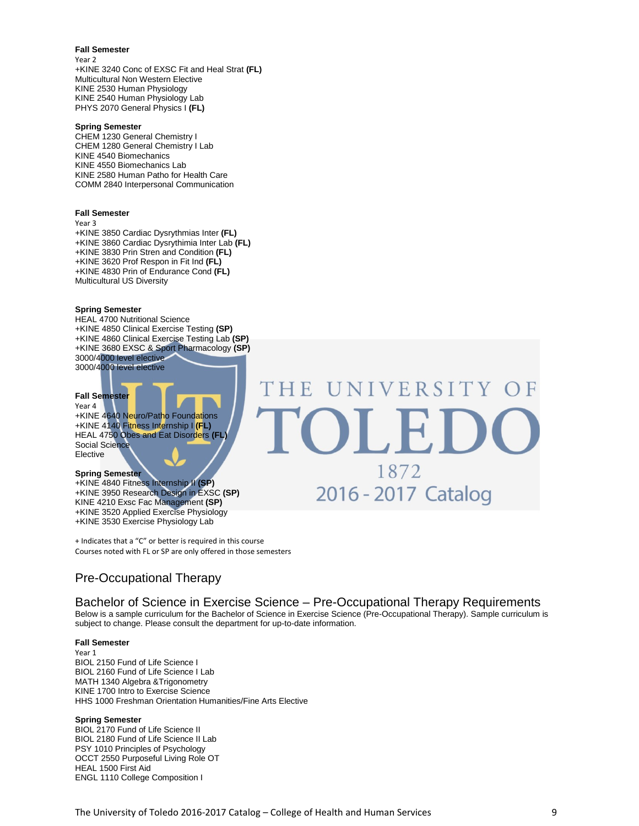#### **Fall Semester**

Year 2 +KINE 3240 Conc of EXSC Fit and Heal Strat **(FL)** Multicultural Non Western Elective KINE 2530 Human Physiology KINE 2540 Human Physiology Lab PHYS 2070 General Physics I **(FL)**

#### **Spring Semester**

CHEM 1230 General Chemistry I CHEM 1280 General Chemistry I Lab KINE 4540 Biomechanics KINE 4550 Biomechanics Lab KINE 2580 Human Patho for Health Care COMM 2840 Interpersonal Communication

#### **Fall Semester**

Year 3

+KINE 3850 Cardiac Dysrythmias Inter **(FL)** +KINE 3860 Cardiac Dysrythimia Inter Lab **(FL)** +KINE 3830 Prin Stren and Condition **(FL)** +KINE 3620 Prof Respon in Fit Ind **(FL)** +KINE 4830 Prin of Endurance Cond **(FL)** Multicultural US Diversity

#### **Spring Semester**

HEAL 4700 Nutritional Science +KINE 4850 Clinical Exercise Testing **(SP)** +KINE 4860 Clinical Exercise Testing Lab **(SP)** +KINE 3680 EXSC & Sport Pharmacology **(SP)** 3000/4000 level elective 3000/4000 level elective

#### **Fall Semester**

Year 4 +KINE 4640 Neuro/Patho Foundations +KINE 4140 Fitness Internship I **(FL)** HEAL 4750 Obes and Eat Disorders **(FL)** Social Science Elective

#### **Spring Semester**

+KINE 4840 Fitness Internship II **(SP)** +KINE 3950 Research Design in EXSC **(SP)** KINE 4210 Exsc Fac Management **(SP)** +KINE 3520 Applied Exercise Physiology +KINE 3530 Exercise Physiology Lab

+ Indicates that a "C" or better is required in this course Courses noted with FL or SP are only offered in those semesters

### Pre-Occupational Therapy

Bachelor of Science in Exercise Science – Pre-Occupational Therapy Requirements

THE

Below is a sample curriculum for the Bachelor of Science in Exercise Science (Pre-Occupational Therapy). Sample curriculum is subject to change. Please consult the department for up-to-date information.

#### **Fall Semester**

Year 1 BIOL 2150 Fund of Life Science I BIOL 2160 Fund of Life Science I Lab MATH 1340 Algebra &Trigonometry KINE 1700 Intro to Exercise Science HHS 1000 Freshman Orientation Humanities/Fine Arts Elective

#### **Spring Semester**

BIOL 2170 Fund of Life Science II BIOL 2180 Fund of Life Science II Lab PSY 1010 Principles of Psychology OCCT 2550 Purposeful Living Role OT HEAL 1500 First Aid ENGL 1110 College Composition I



UNIVERSITY OF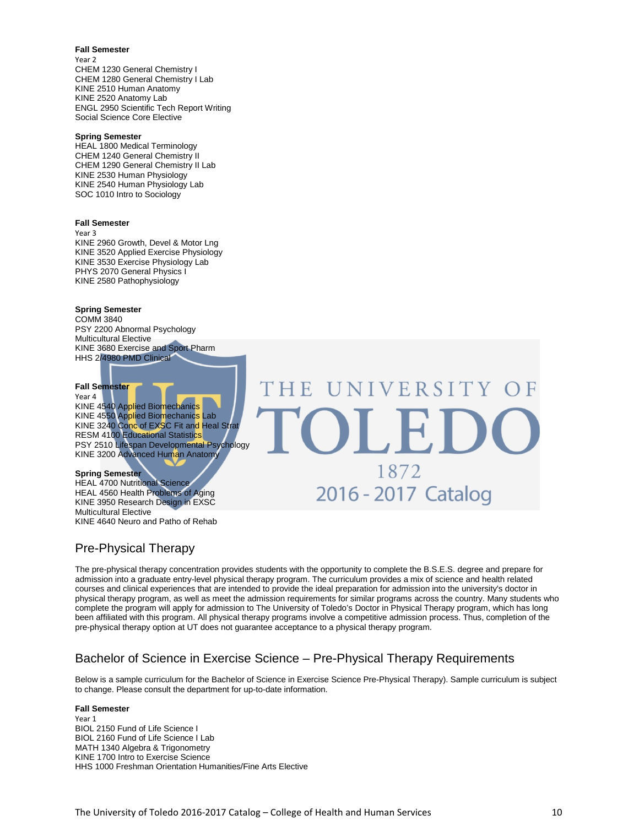#### **Fall Semester**

Year 2 CHEM 1230 General Chemistry I CHEM 1280 General Chemistry I Lab KINE 2510 Human Anatomy KINE 2520 Anatomy Lab ENGL 2950 Scientific Tech Report Writing Social Science Core Elective

#### **Spring Semester**

HEAL 1800 Medical Terminology CHEM 1240 General Chemistry II CHEM 1290 General Chemistry II Lab KINE 2530 Human Physiology KINE 2540 Human Physiology Lab SOC 1010 Intro to Sociology

#### **Fall Semester**

Year 3

KINE 2960 Growth, Devel & Motor Lng KINE 3520 Applied Exercise Physiology KINE 3530 Exercise Physiology Lab PHYS 2070 General Physics I KINE 2580 Pathophysiology

#### **Spring Semester**

COMM 3840 PSY 2200 Abnormal Psychology Multicultural Elective KINE 3680 Exercise and Sport Pharm HHS 2/4980 PMD Clinical

#### **Fall Semester**

#### Year 4

KINE 4540 Applied Biomechanics KINE 4550 Applied Biomechanics Lab KINE 3240 Conc of EXSC Fit and Heal Strat RESM 4100 Educational Statistics PSY 2510 Lifespan Developmental Psychology KINE 3200 Advanced Human Anatomy

#### **Spring Semester**

HEAL 4700 Nutritional Science HEAL 4560 Health Problems of Aging KINE 3950 Research Design in EXSC Multicultural Elective KINE 4640 Neuro and Patho of Rehab

### Pre-Physical Therapy

The pre-physical therapy concentration provides students with the opportunity to complete the B.S.E.S. degree and prepare for admission into a graduate entry-level physical therapy program. The curriculum provides a mix of science and health related courses and clinical experiences that are intended to provide the ideal preparation for admission into the university's doctor in physical therapy program, as well as meet the admission requirements for similar programs across the country. Many students who complete the program will apply for admission to The University of Toledo's Doctor in Physical Therapy program, which has long been affiliated with this program. All physical therapy programs involve a competitive admission process. Thus, completion of the pre-physical therapy option at UT does not guarantee acceptance to a physical therapy program.

UNIVERSITY OF

1872

2016 - 2017 Catalog

### Bachelor of Science in Exercise Science – Pre-Physical Therapy Requirements

'HE

Below is a sample curriculum for the Bachelor of Science in Exercise Science Pre-Physical Therapy). Sample curriculum is subject to change. Please consult the department for up-to-date information.

#### **Fall Semester**

Year 1 BIOL 2150 Fund of Life Science I BIOL 2160 Fund of Life Science I Lab MATH 1340 Algebra & Trigonometry KINE 1700 Intro to Exercise Science HHS 1000 Freshman Orientation Humanities/Fine Arts Elective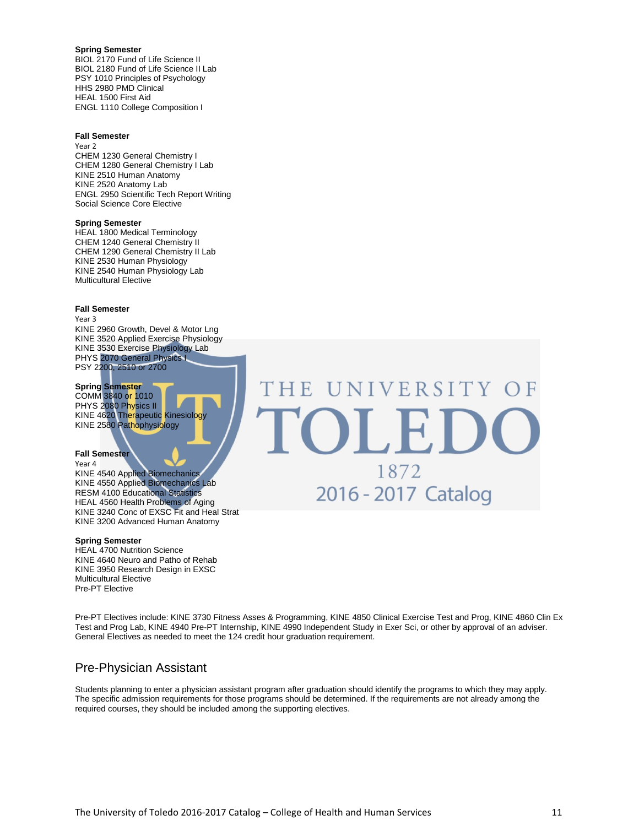#### **Spring Semester**

BIOL 2170 Fund of Life Science II BIOL 2180 Fund of Life Science II Lab PSY 1010 Principles of Psychology HHS 2980 PMD Clinical HEAL 1500 First Aid ENGL 1110 College Composition I

#### **Fall Semester**

Year 2 CHEM 1230 General Chemistry I CHEM 1280 General Chemistry I Lab KINE 2510 Human Anatomy KINE 2520 Anatomy Lab ENGL 2950 Scientific Tech Report Writing Social Science Core Elective

#### **Spring Semester**

HEAL 1800 Medical Terminology CHEM 1240 General Chemistry II CHEM 1290 General Chemistry II Lab KINE 2530 Human Physiology KINE 2540 Human Physiology Lab Multicultural Elective

#### **Fall Semester**

Year 3

KINE 2960 Growth, Devel & Motor Lng KINE 3520 Applied Exercise Physiology KINE 3530 Exercise Physiology Lab PHYS 2070 General Physics I PSY 2200, 2510 or 2700

#### **Spring Semester**

COMM 3840 or 1010 PHYS 2080 Physics II KINE 4620 Therapeutic Kinesiology KINE 2580 Pathophysiology

#### **Fall Semester**

Year 4 KINE 4540 Applied Biomechanics KINE 4550 Applied Biomechanics Lab RESM 4100 Educational Statistics HEAL 4560 Health Problems of Aging KINE 3240 Conc of EXSC Fit and Heal Strat

#### **Spring Semester**

HEAL 4700 Nutrition Science KINE 4640 Neuro and Patho of Rehab KINE 3950 Research Design in EXSC Multicultural Elective Pre-PT Elective

KINE 3200 Advanced Human Anatomy

UNIVERSITY OF THE OLI 1872 2016 - 2017 Catalog

Pre-PT Electives include: KINE 3730 Fitness Asses & Programming, KINE 4850 Clinical Exercise Test and Prog, KINE 4860 Clin Ex Test and Prog Lab, KINE 4940 Pre-PT Internship, KINE 4990 Independent Study in Exer Sci, or other by approval of an adviser. General Electives as needed to meet the 124 credit hour graduation requirement.

### Pre-Physician Assistant

Students planning to enter a physician assistant program after graduation should identify the programs to which they may apply. The specific admission requirements for those programs should be determined. If the requirements are not already among the required courses, they should be included among the supporting electives.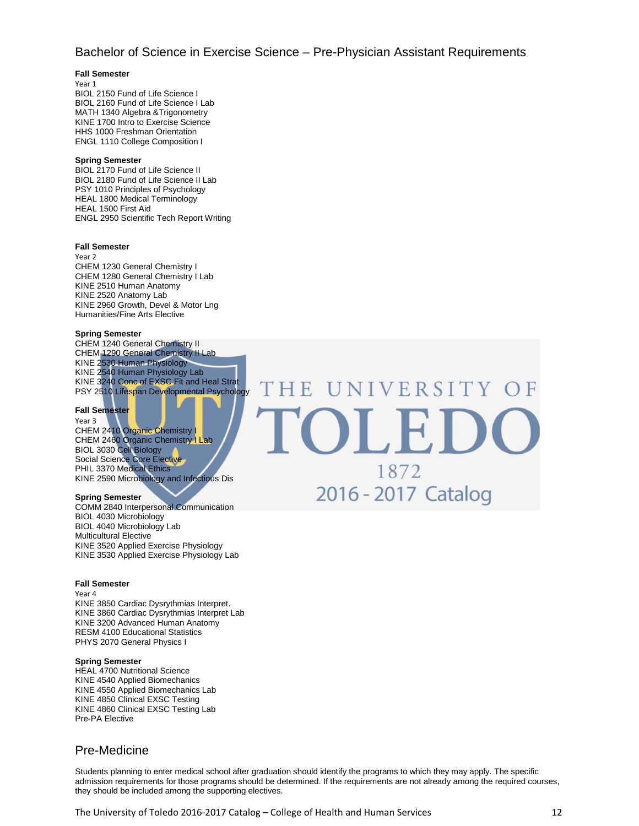### Bachelor of Science in Exercise Science – Pre-Physician Assistant Requirements

HE

#### **Fall Semester**

Year 1

BIOL 2150 Fund of Life Science I BIOL 2160 Fund of Life Science I Lab MATH 1340 Algebra &Trigonometry KINE 1700 Intro to Exercise Science HHS 1000 Freshman Orientation ENGL 1110 College Composition I

#### **Spring Semester**

BIOL 2170 Fund of Life Science II BIOL 2180 Fund of Life Science II Lab PSY 1010 Principles of Psychology HEAL 1800 Medical Terminology HEAL 1500 First Aid ENGL 2950 Scientific Tech Report Writing

#### **Fall Semester**

Year 2 CHEM 1230 General Chemistry I CHEM 1280 General Chemistry I Lab KINE 2510 Human Anatomy KINE 2520 Anatomy Lab KINE 2960 Growth, Devel & Motor Lng Humanities/Fine Arts Elective

#### **Spring Semester**

CHEM 1240 General Chemistry II CHEM 1290 General Chemistry II Lab KINE 2530 Human Physiology KINE 2540 Human Physiology Lab KINE 3240 Conc of EXSC Fit and Heal Strat PSY 2510 Lifespan Developmental Psychology

#### **Fall Semester**

Year 3 CHEM 2410 Organic Chemistry I CHEM 2460 Organic Chemistry I Lab BIOL 3030 Cell Biology Social Science Core Elective PHIL 3370 Medical Ethics KINE 2590 Microbiology and Infectious Dis

#### **Spring Semester**

COMM 2840 Interpersonal Communication BIOL 4030 Microbiology BIOL 4040 Microbiology Lab Multicultural Elective KINE 3520 Applied Exercise Physiology KINE 3530 Applied Exercise Physiology Lab

#### **Fall Semester**

Year 4 KINE 3850 Cardiac Dysrythmias Interpret. KINE 3860 Cardiac Dysrythmias Interpret Lab KINE 3200 Advanced Human Anatomy RESM 4100 Educational Statistics PHYS 2070 General Physics I

#### **Spring Semester**

HEAL 4700 Nutritional Science KINE 4540 Applied Biomechanics KINE 4550 Applied Biomechanics Lab KINE 4850 Clinical EXSC Testing KINE 4860 Clinical EXSC Testing Lab Pre-PA Elective

### Pre-Medicine

Students planning to enter medical school after graduation should identify the programs to which they may apply. The specific admission requirements for those programs should be determined. If the requirements are not already among the required courses, they should be included among the supporting electives.

NIVERSITY OF

1872

2016 - 2017 Catalog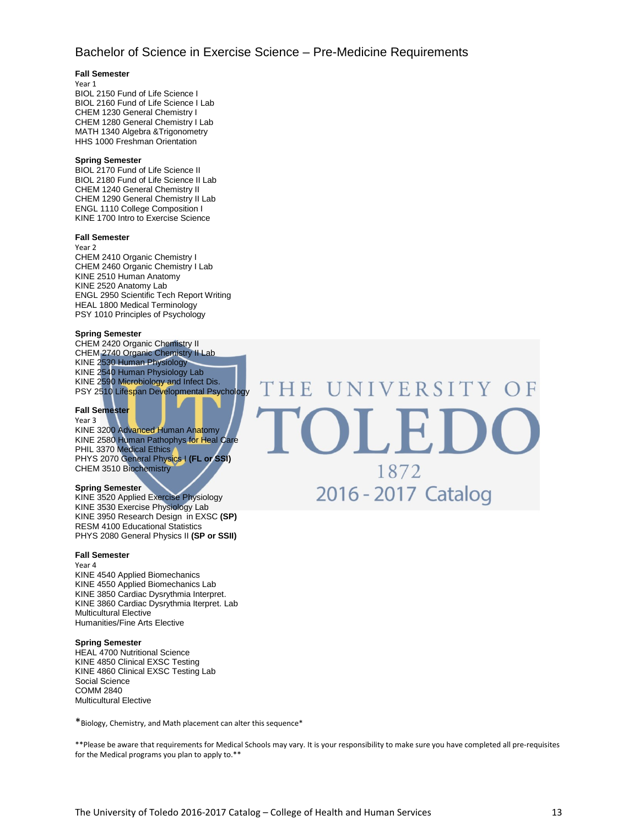### Bachelor of Science in Exercise Science – Pre-Medicine Requirements

#### **Fall Semester**

Year 1

BIOL 2150 Fund of Life Science I BIOL 2160 Fund of Life Science I Lab CHEM 1230 General Chemistry I CHEM 1280 General Chemistry I Lab MATH 1340 Algebra &Trigonometry HHS 1000 Freshman Orientation

#### **Spring Semester**

BIOL 2170 Fund of Life Science II BIOL 2180 Fund of Life Science II Lab CHEM 1240 General Chemistry II CHEM 1290 General Chemistry II Lab ENGL 1110 College Composition I KINE 1700 Intro to Exercise Science

#### **Fall Semester**

Year 2

CHEM 2410 Organic Chemistry I CHEM 2460 Organic Chemistry I Lab KINE 2510 Human Anatomy KINE 2520 Anatomy Lab ENGL 2950 Scientific Tech Report Writing HEAL 1800 Medical Terminology PSY 1010 Principles of Psychology

#### **Spring Semester**

CHEM 2420 Organic Chemistry II CHEM 2740 Organic Chemistry II Lab KINE 2530 Human Physiology KINE 2540 Human Physiology Lab KINE 2590 Microbiology and Infect Dis. PSY 2510 Lifespan Developmental Psychology

#### **Fall Semester**

Year 3 KINE 3200 Advanced Human Anatomy KINE 2580 Human Pathophys for Heal Care

PHIL 3370 Medical Ethics PHYS 2070 General Physics I **(FL or SSI)** CHEM 3510 Biochemistry

#### **Spring Semester**

KINE 3520 Applied Exercise Physiology KINE 3530 Exercise Physiology Lab KINE 3950 Research Design in EXSC **(SP)** RESM 4100 Educational Statistics PHYS 2080 General Physics II **(SP or SSII)**

#### **Fall Semester**

Year 4 KINE 4540 Applied Biomechanics KINE 4550 Applied Biomechanics Lab KINE 3850 Cardiac Dysrythmia Interpret. KINE 3860 Cardiac Dysrythmia Iterpret. Lab Multicultural Elective Humanities/Fine Arts Elective

#### **Spring Semester**

HEAL 4700 Nutritional Science KINE 4850 Clinical EXSC Testing KINE 4860 Clinical EXSC Testing Lab Social Science COMM 2840 Multicultural Elective

\*Biology, Chemistry, and Math placement can alter this sequence\*

\*\*Please be aware that requirements for Medical Schools may vary. It is your responsibility to make sure you have completed all pre-requisites for the Medical programs you plan to apply to.\*\*

**SIVERSITY** HE 1872 2016 - 2017 Catalog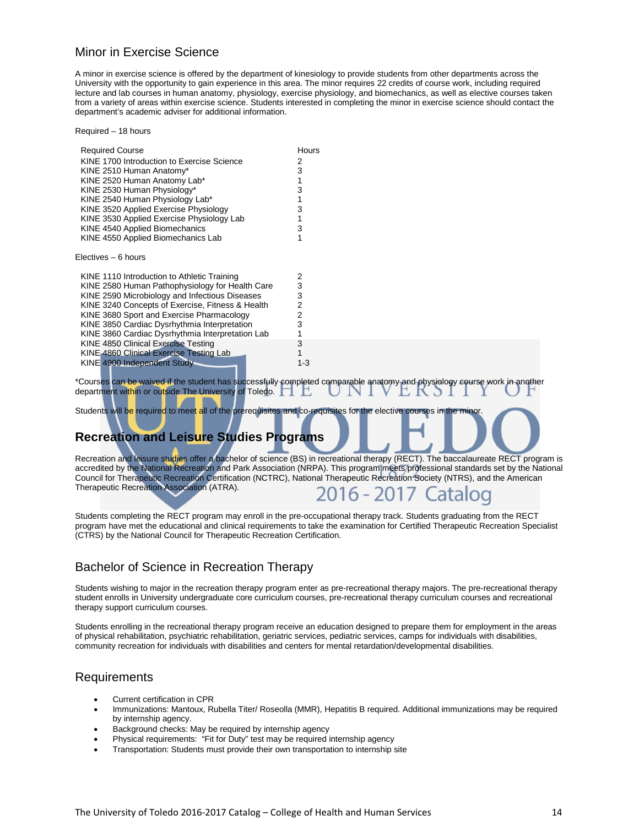### Minor in Exercise Science

A minor in exercise science is offered by the department of kinesiology to provide students from other departments across the University with the opportunity to gain experience in this area. The minor requires 22 credits of course work, including required lecture and lab courses in human anatomy, physiology, exercise physiology, and biomechanics, as well as elective courses taken from a variety of areas within exercise science. Students interested in completing the minor in exercise science should contact the department's academic adviser for additional information.

Required – 18 hours Required Course **Hours** KINE 1700 Introduction to Exercise Science  $\overline{2}$ KINE 2510 Human Anatomy\* 3 KINE 2520 Human Anatomy Lab\* 1<br>KINE 2530 Human Physiology\* 1988 1989 1989 KINE 2530 Human Physiology\* KINE 2540 Human Physiology Lab\*<br>1 - 1 - 10 KINE 3520 Applied Exercise Physiology KINE 3520 Applied Exercise Physiology KINE 3530 Applied Exercise Physiology Lab 1<br>1 KINE 4540 Applied Biomechanics 13 KINE 4540 Applied Biomechanics KINE 4550 Applied Biomechanics Lab 1 Electives – 6 hours KINE 1110 Introduction to Athletic Training  $\overline{2}$ KINE 2580 Human Pathophysiology for Health Care 3 KINE 2590 Microbiology and Infectious Diseases  $\frac{3}{2}$ KINE 3240 Concepts of Exercise, Fitness & Health 2<br>KINE 3680 Sport and Exercise Pharmacology 2 KINE 3680 Sport and Exercise Pharmacology 2 KINE 3850 Cardiac Dysrhythmia Interpretation 3 KINE 3860 Cardiac Dysrhythmia Interpretation Lab 1<br>KINE 4850 Clinical Exercise Testing 13 KINE 4850 Clinical Exercise Testing KINE 4860 Clinical Exercise Testing Lab 1 KINE 4900 Independent Study 1-3 \*Courses can be waived if the student has successfully completed comparable anatomy and physiology course work in another L K department within or outside The University of Toledo.

Students will be required to meet all of the prerequisites and co-requisites for the elective courses in the minor

### **Recreation and Leisure Studies Programs**

Recreation and leisure studies offer a bachelor of science (BS) in recreational therapy (RECT). The baccalaureate RECT program is accredited by the National Recreation and Park Association (NRPA). This program meets professional standards set by the National Council for Therapeutic Recreation Certification (NCTRC), National Therapeutic Recreation Society (NTRS), and the American Therapeutic Recreation Association (ATRA).  $6 - 2017$ atalod

Students completing the RECT program may enroll in the pre-occupational therapy track. Students graduating from the RECT program have met the educational and clinical requirements to take the examination for Certified Therapeutic Recreation Specialist (CTRS) by the National Council for Therapeutic Recreation Certification.

### Bachelor of Science in Recreation Therapy

Students wishing to major in the recreation therapy program enter as pre-recreational therapy majors. The pre-recreational therapy student enrolls in University undergraduate core curriculum courses, pre-recreational therapy curriculum courses and recreational therapy support curriculum courses.

Students enrolling in the recreational therapy program receive an education designed to prepare them for employment in the areas of physical rehabilitation, psychiatric rehabilitation, geriatric services, pediatric services, camps for individuals with disabilities, community recreation for individuals with disabilities and centers for mental retardation/developmental disabilities.

### Requirements

- Current certification in CPR
- Immunizations: Mantoux, Rubella Titer/ Roseolla (MMR), Hepatitis B required. Additional immunizations may be required by internship agency.
- Background checks: May be required by internship agency
- Physical requirements: "Fit for Duty" test may be required internship agency
- Transportation: Students must provide their own transportation to internship site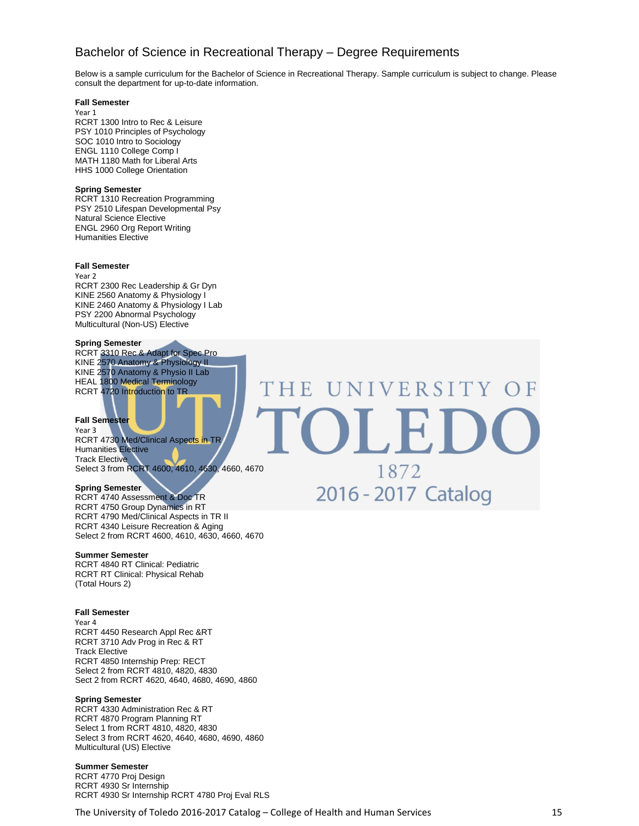### Bachelor of Science in Recreational Therapy – Degree Requirements

THE

Below is a sample curriculum for the Bachelor of Science in Recreational Therapy. Sample curriculum is subject to change. Please consult the department for up-to-date information.

UNIVERSITY OF

1872

2016 - 2017 Catalog

#### **Fall Semester**

Year 1 RCRT 1300 Intro to Rec & Leisure PSY 1010 Principles of Psychology SOC 1010 Intro to Sociology ENGL 1110 College Comp I MATH 1180 Math for Liberal Arts HHS 1000 College Orientation

#### **Spring Semester**

RCRT 1310 Recreation Programming PSY 2510 Lifespan Developmental Psy Natural Science Elective ENGL 2960 Org Report Writing Humanities Elective

#### **Fall Semester**

Year 2 RCRT 2300 Rec Leadership & Gr Dyn KINE 2560 Anatomy & Physiology I KINE 2460 Anatomy & Physiology I Lab PSY 2200 Abnormal Psychology Multicultural (Non-US) Elective

#### **Spring Semester**

RCRT 3310 Rec & Adapt for Spec Pro KINE 2570 Anatomy & Physiology II KINE 2570 Anatomy & Physio II Lab HEAL 1800 Medical Terminology RCRT 4720 Introduction to TR

#### **Fall Semester**

Year 3 RCRT 4730 Med/Clinical Aspects in TR Humanities Elective Track Elective Select 3 from RCRT 4600, 4610, 4630, 4660, 4670

#### **Spring Semester**

RCRT 4740 Assessment & Doc TR RCRT 4750 Group Dynamics in RT RCRT 4790 Med/Clinical Aspects in TR II RCRT 4340 Leisure Recreation & Aging Select 2 from RCRT 4600, 4610, 4630, 4660, 4670

#### **Summer Semester**

RCRT 4840 RT Clinical: Pediatric RCRT RT Clinical: Physical Rehab (Total Hours 2)

#### **Fall Semester**

Year 4 RCRT 4450 Research Appl Rec &RT RCRT 3710 Adv Prog in Rec & RT Track Elective RCRT 4850 Internship Prep: RECT Select 2 from RCRT 4810, 4820, 4830 Sect 2 from RCRT 4620, 4640, 4680, 4690, 4860

#### **Spring Semester**

RCRT 4330 Administration Rec & RT RCRT 4870 Program Planning RT Select 1 from RCRT 4810, 4820, 4830 Select 3 from RCRT 4620, 4640, 4680, 4690, 4860 Multicultural (US) Elective

#### **Summer Semester**

RCRT 4770 Proj Design RCRT 4930 Sr Internship RCRT 4930 Sr Internship RCRT 4780 Proj Eval RLS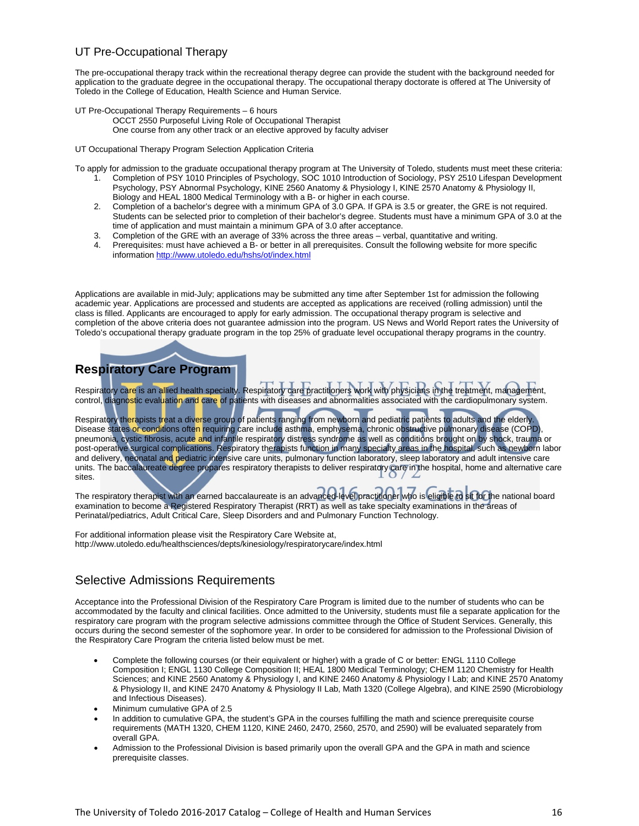### UT Pre-Occupational Therapy

The pre-occupational therapy track within the recreational therapy degree can provide the student with the background needed for application to the graduate degree in the occupational therapy. The occupational therapy doctorate is offered at The University of Toledo in the College of Education, Health Science and Human Service.

- UT Pre-Occupational Therapy Requirements 6 hours
	- OCCT 2550 Purposeful Living Role of Occupational Therapist One course from any other track or an elective approved by faculty adviser

UT Occupational Therapy Program Selection Application Criteria

To apply for admission to the graduate occupational therapy program at The University of Toledo, students must meet these criteria:

- 1. Completion of PSY 1010 Principles of Psychology, SOC 1010 Introduction of Sociology, PSY 2510 Lifespan Development Psychology, PSY Abnormal Psychology, KINE 2560 Anatomy & Physiology I, KINE 2570 Anatomy & Physiology II, Biology and HEAL 1800 Medical Terminology with a B- or higher in each course.
- 2. Completion of a bachelor's degree with a minimum GPA of 3.0 GPA. If GPA is 3.5 or greater, the GRE is not required. Students can be selected prior to completion of their bachelor's degree. Students must have a minimum GPA of 3.0 at the time of application and must maintain a minimum GPA of 3.0 after acceptance.
- 3. Completion of the GRE with an average of 33% across the three areas verbal, quantitative and writing.
- Prerequisites: must have achieved a B- or better in all prerequisites. Consult the following website for more specific information<http://www.utoledo.edu/hshs/ot/index.html>

Applications are available in mid-July; applications may be submitted any time after September 1st for admission the following academic year. Applications are processed and students are accepted as applications are received (rolling admission) until the class is filled. Applicants are encouraged to apply for early admission. The occupational therapy program is selective and completion of the above criteria does not guarantee admission into the program. US News and World Report rates the University of Toledo's occupational therapy graduate program in the top 25% of graduate level occupational therapy programs in the country.

### **Respiratory Care Program**

Respiratory care is an allied health specialty. Respiratory care practitioners work with physicians in the treatment, management, control, diagnostic evaluation and care of patients with diseases and abnormalities associated with the cardiopulmonary system.

Respiratory th<mark>era</mark>pists treat a diverse group of patients ranging from newborn and pediatric patients to adults and the elderly. Disease states <mark>or condi</mark>tions often requiring care include asthma, emphysema, chronic obstructive pulmonary disease (COPD), pneumonia, cystic fibrosis, acute and infantile respiratory distress syndrome as well as conditions brought on by shock, trauma or post-operative surgical complications. Respiratory therapists function in many specialty areas in the hospital, such as newborn labor and delivery, neonatal and pediatric intensive care units, pulmonary function laboratory, sleep laboratory and adult intensive care units. The baccalaureate degree prepares respiratory therapists to deliver respiratory care in the hospital, home and alternative care sites.

The respiratory therapist with an earned baccalaureate is an advanced-level practitioner who is eligible to sit for the national board examination to become a Registered Respiratory Therapist (RRT) as well as take specialty examinations in the areas of Perinatal/pediatrics, Adult Critical Care, Sleep Disorders and and Pulmonary Function Technology.

For additional information please visit the Respiratory Care Website at, http://www.utoledo.edu/healthsciences/depts/kinesiology/respiratorycare/index.html

### Selective Admissions Requirements

Acceptance into the Professional Division of the Respiratory Care Program is limited due to the number of students who can be accommodated by the faculty and clinical facilities. Once admitted to the University, students must file a separate application for the respiratory care program with the program selective admissions committee through the Office of Student Services. Generally, this occurs during the second semester of the sophomore year. In order to be considered for admission to the Professional Division of the Respiratory Care Program the criteria listed below must be met.

- Complete the following courses (or their equivalent or higher) with a grade of C or better: ENGL 1110 College Composition I; ENGL 1130 College Composition II; HEAL 1800 Medical Terminology; CHEM 1120 Chemistry for Health Sciences; and KINE 2560 Anatomy & Physiology I, and KINE 2460 Anatomy & Physiology I Lab; and KINE 2570 Anatomy & Physiology II, and KINE 2470 Anatomy & Physiology II Lab, Math 1320 (College Algebra), and KINE 2590 (Microbiology and Infectious Diseases).
- Minimum cumulative GPA of 2.5
- In addition to cumulative GPA, the student's GPA in the courses fulfilling the math and science prerequisite course requirements (MATH 1320, CHEM 1120, KINE 2460, 2470, 2560, 2570, and 2590) will be evaluated separately from overall GPA.
- Admission to the Professional Division is based primarily upon the overall GPA and the GPA in math and science prerequisite classes.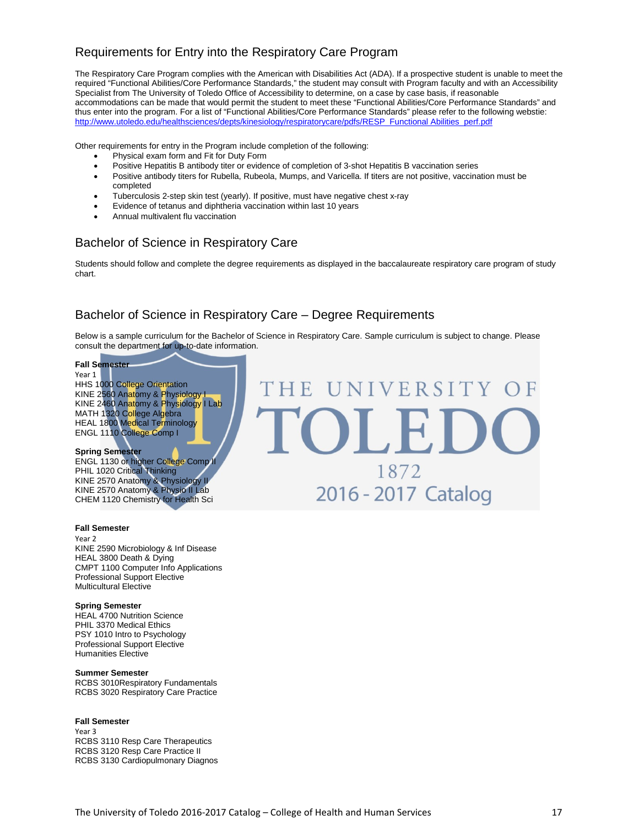### Requirements for Entry into the Respiratory Care Program

The Respiratory Care Program complies with the American with Disabilities Act (ADA). If a prospective student is unable to meet the required "Functional Abilities/Core Performance Standards," the student may consult with Program faculty and with an Accessibility Specialist from The University of Toledo Office of Accessibility to determine, on a case by case basis, if reasonable accommodations can be made that would permit the student to meet these "Functional Abilities/Core Performance Standards" and thus enter into the program. For a list of "Functional Abilities/Core Performance Standards" please refer to the following webstie: [http://www.utoledo.edu/healthsciences/depts/kinesiology/respiratorycare/pdfs/RESP\\_Functional](http://www.utoledo.edu/healthsciences/depts/kinesiology/respiratorycare/pdfs/RESP_Functional%20Abilities_perf.pdf) Abilities\_perf.pdf

Other requirements for entry in the Program include completion of the following:

- Physical exam form and Fit for Duty Form
- Positive Hepatitis B antibody titer or evidence of completion of 3-shot Hepatitis B vaccination series
- Positive antibody titers for Rubella, Rubeola, Mumps, and Varicella. If titers are not positive, vaccination must be completed
- Tuberculosis 2-step skin test (yearly). If positive, must have negative chest x-ray
- Evidence of tetanus and diphtheria vaccination within last 10 years
- Annual multivalent flu vaccination

### Bachelor of Science in Respiratory Care

Students should follow and complete the degree requirements as displayed in the baccalaureate respiratory care program of study chart.

### Bachelor of Science in Respiratory Care – Degree Requirements

Below is a sample curriculum for the Bachelor of Science in Respiratory Care. Sample curriculum is subject to change. Please consult the department for up-to-date information.

HE UNIVERSITY

OLED

1872

2016 - 2017 Catalog

#### **Fall Semester**

Year 1 HHS 1000 College Orientation KINE 2560 Anatomy & Physiology I KINE 2460 An<mark>at</mark>omy & Physiology I Lab MATH 1320 College Algebra HEAL 1800 Medical Terminology ENGL 1110 College Comp I

#### **Spring Semester**

ENGL 1130 or higher College Comp II PHIL 1020 Critical Thinking KINE 2570 Anatomy & Physiology II KINE 2570 Anatomy & Physio II Lab CHEM 1120 Chemistry for Health Sci

#### **Fall Semester**

Year 2 KINE 2590 Microbiology & Inf Disease HEAL 3800 Death & Dying CMPT 1100 Computer Info Applications Professional Support Elective Multicultural Elective

#### **Spring Semester**

HEAL 4700 Nutrition Science PHIL 3370 Medical Ethics PSY 1010 Intro to Psychology Professional Support Elective Humanities Elective

#### **Summer Semester**

RCBS 3010Respiratory Fundamentals RCBS 3020 Respiratory Care Practice

#### **Fall Semester**

Year 3 RCBS 3110 Resp Care Therapeutics RCBS 3120 Resp Care Practice II RCBS 3130 Cardiopulmonary Diagnos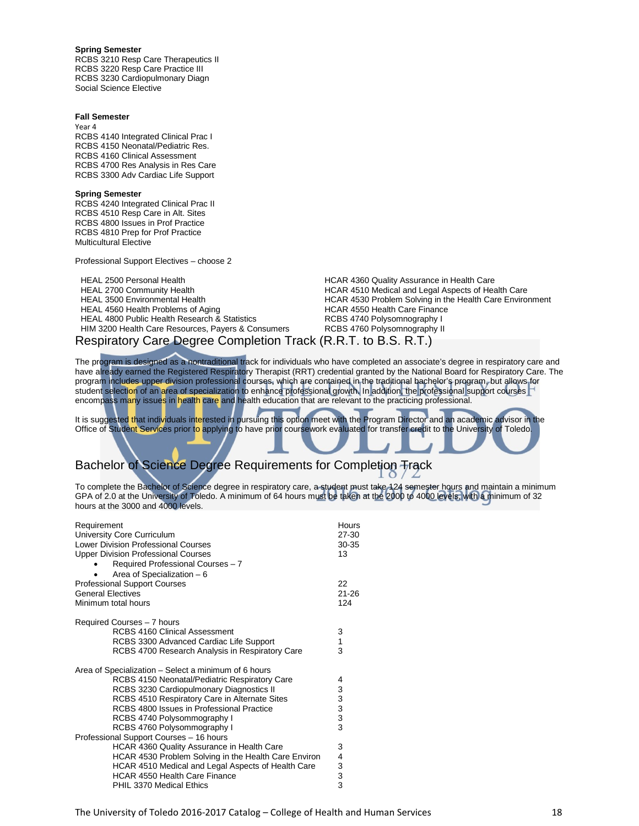#### **Spring Semester**

RCBS 3210 Resp Care Therapeutics II RCBS 3220 Resp Care Practice III RCBS 3230 Cardiopulmonary Diagn Social Science Elective

#### **Fall Semester**

Year 4 RCBS 4140 Integrated Clinical Prac I RCBS 4150 Neonatal/Pediatric Res. RCBS 4160 Clinical Assessment RCBS 4700 Res Analysis in Res Care RCBS 3300 Adv Cardiac Life Support

#### **Spring Semester**

RCBS 4240 Integrated Clinical Prac II RCBS 4510 Resp Care in Alt. Sites RCBS 4800 Issues in Prof Practice RCBS 4810 Prep for Prof Practice Multicultural Elective

Professional Support Electives – choose 2

HEAL 2500 Personal Health **Health HCAR 4360 Quality Assurance in Health Care**<br>HCAR 4510 Medical and Legal Aspects of Health HCAR 4510 Medical and Legal Aspects of Health HEAL 4560 Health Problems of Aging HEAL 4800 Public Health Research & Statistics **RUM REAL 4800 Polysomnography I**<br>HIM 3200 Health Care Resources, Payers & Consumers RCBS 4760 Polysomnography II HIM 3200 Health Care Resources, Payers & Consumers

HEAL 2700 Community Health <br>HCAR 4510 Medical and Legal Aspects of Health Care<br>HCAR 4530 Problem Solving in the Health Care Enviro HCAR 4530 Problem Solving in the Health Care Environment<br>HCAR 4550 Health Care Finance Respiratory Care Degree Completion Track (R.R.T. to B.S. R.T.)

The program is designed as a nontraditional track for individuals who have completed an associate's degree in respiratory care and have already earned the Registered Respiratory Therapist (RRT) credential granted by the National Board for Respiratory Care. The program includes upper division professional courses, which are contained in the traditional bachelor's program, but allows for student selection of an area of specialization to enhance professional growth. In addition, the professional support courses encompass many issues in health care and health education that are relevant to the practicing professional.

It is suggested that individuals interested in pursuing this option meet with the Program Director and an academic advisor in the Office of Student Services prior to applying to have prior coursework evaluated for transfer credit to the University of Toledo.

### Bachelor of Science Degree Requirements for Completion Track

To complete the Bachelor of Science degree in respiratory care, a student must take 124 semester hours and maintain a minimum GPA of 2.0 at the University of Toledo. A minimum of 64 hours must be taken at the 2000 to 4000 levels, with a minimum of 32 hours at the 3000 and 4000 levels.

| Requirement<br>University Core Curriculum<br><b>Lower Division Professional Courses</b><br><b>Upper Division Professional Courses</b><br>Required Professional Courses - 7 | Hours<br>$27 - 30$<br>30-35<br>13               |
|----------------------------------------------------------------------------------------------------------------------------------------------------------------------------|-------------------------------------------------|
| Area of Specialization - 6<br><b>Professional Support Courses</b>                                                                                                          | 22                                              |
| <b>General Electives</b>                                                                                                                                                   | $21 - 26$                                       |
| Minimum total hours                                                                                                                                                        | 124                                             |
| Required Courses - 7 hours                                                                                                                                                 |                                                 |
| RCBS 4160 Clinical Assessment                                                                                                                                              | 3                                               |
| RCBS 3300 Advanced Cardiac Life Support                                                                                                                                    | 1                                               |
| RCBS 4700 Research Analysis in Respiratory Care                                                                                                                            | 3                                               |
| Area of Specialization – Select a minimum of 6 hours                                                                                                                       |                                                 |
| RCBS 4150 Neonatal/Pediatric Respiratory Care                                                                                                                              | 4                                               |
| RCBS 3230 Cardiopulmonary Diagnostics II                                                                                                                                   |                                                 |
| RCBS 4510 Respiratory Care in Alternate Sites                                                                                                                              |                                                 |
| RCBS 4800 Issues in Professional Practice                                                                                                                                  |                                                 |
| RCBS 4740 Polysommography I                                                                                                                                                | $\begin{array}{c} 3 \\ 3 \\ 3 \\ 3 \end{array}$ |
| RCBS 4760 Polysommography I                                                                                                                                                |                                                 |
| Professional Support Courses - 16 hours                                                                                                                                    |                                                 |
| HCAR 4360 Quality Assurance in Health Care                                                                                                                                 | 3                                               |
| HCAR 4530 Problem Solving in the Health Care Environ                                                                                                                       | 4                                               |
| HCAR 4510 Medical and Legal Aspects of Health Care                                                                                                                         |                                                 |
| <b>HCAR 4550 Health Care Finance</b>                                                                                                                                       | $\begin{array}{c} 3 \\ 3 \end{array}$           |
| PHIL 3370 Medical Ethics                                                                                                                                                   |                                                 |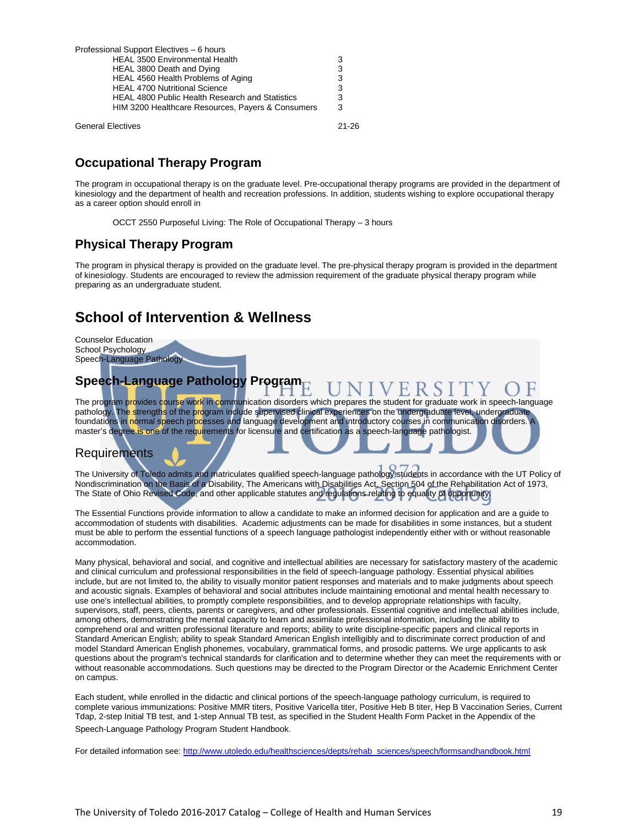| Professional Support Electives - 6 hours               |   |
|--------------------------------------------------------|---|
| <b>HEAL 3500 Environmental Health</b>                  | 3 |
| HEAL 3800 Death and Dying                              |   |
| HEAL 4560 Health Problems of Aging                     | 3 |
| <b>HEAL 4700 Nutritional Science</b>                   | 3 |
| <b>HEAL 4800 Public Health Research and Statistics</b> | 3 |
| HIM 3200 Healthcare Resources, Payers & Consumers      |   |
|                                                        |   |

General Electives 21-26

### **Occupational Therapy Program**

The program in occupational therapy is on the graduate level. Pre-occupational therapy programs are provided in the department of kinesiology and the department of health and recreation professions. In addition, students wishing to explore occupational therapy as a career option should enroll in

OCCT 2550 Purposeful Living: The Role of Occupational Therapy – 3 hours

### **Physical Therapy Program**

The program in physical therapy is provided on the graduate level. The pre-physical therapy program is provided in the department of kinesiology. Students are encouraged to review the admission requirement of the graduate physical therapy program while preparing as an undergraduate student.

### **School of Intervention & Wellness**



pathology. Th<mark>e s</mark>trengths of the program include supervised clinical experiences on the undergraduate level, undergraduate foundations in normal speech processes and language development and introductory courses in communication disorders. A master's degree is one of the requirements for licensure and certification as a speech-language pathologist.

### Requirements

The University of Toledo admits and matriculates qualified speech-language pathology students in accordance with the UT Policy of Nondiscrimination on the Basis of a Disability, The Americans with Disabilities Act, Section 504 of the Rehabilitation Act of 1973, The State of Ohio Revised Code, and other applicable statutes and regulations relating to equality of opportunity.

The Essential Functions provide information to allow a candidate to make an informed decision for application and are a guide to accommodation of students with disabilities. Academic adjustments can be made for disabilities in some instances, but a student must be able to perform the essential functions of a speech language pathologist independently either with or without reasonable accommodation.

Many physical, behavioral and social, and cognitive and intellectual abilities are necessary for satisfactory mastery of the academic and clinical curriculum and professional responsibilities in the field of speech-language pathology. Essential physical abilities include, but are not limited to, the ability to visually monitor patient responses and materials and to make judgments about speech and acoustic signals. Examples of behavioral and social attributes include maintaining emotional and mental health necessary to use one's intellectual abilities, to promptly complete responsibilities, and to develop appropriate relationships with faculty, supervisors, staff, peers, clients, parents or caregivers, and other professionals. Essential cognitive and intellectual abilities include, among others, demonstrating the mental capacity to learn and assimilate professional information, including the ability to comprehend oral and written professional literature and reports; ability to write discipline-specific papers and clinical reports in Standard American English; ability to speak Standard American English intelligibly and to discriminate correct production of and model Standard American English phonemes, vocabulary, grammatical forms, and prosodic patterns. We urge applicants to ask questions about the program's technical standards for clarification and to determine whether they can meet the requirements with or without reasonable accommodations. Such questions may be directed to the Program Director or the Academic Enrichment Center on campus.

Each student, while enrolled in the didactic and clinical portions of the speech-language pathology curriculum, is required to complete various immunizations: Positive MMR titers, Positive Varicella titer, Positive Heb B titer, Hep B Vaccination Series, Current Tdap, 2-step Initial TB test, and 1-step Annual TB test, as specified in the Student Health Form Packet in the Appendix of the Speech-Language Pathology Program Student Handbook.

For detailed information see[: http://www.utoledo.edu/healthsciences/depts/rehab\\_sciences/speech/formsandhandbook.html](http://www.utoledo.edu/healthsciences/depts/rehab_sciences/speech/formsandhandbook.html)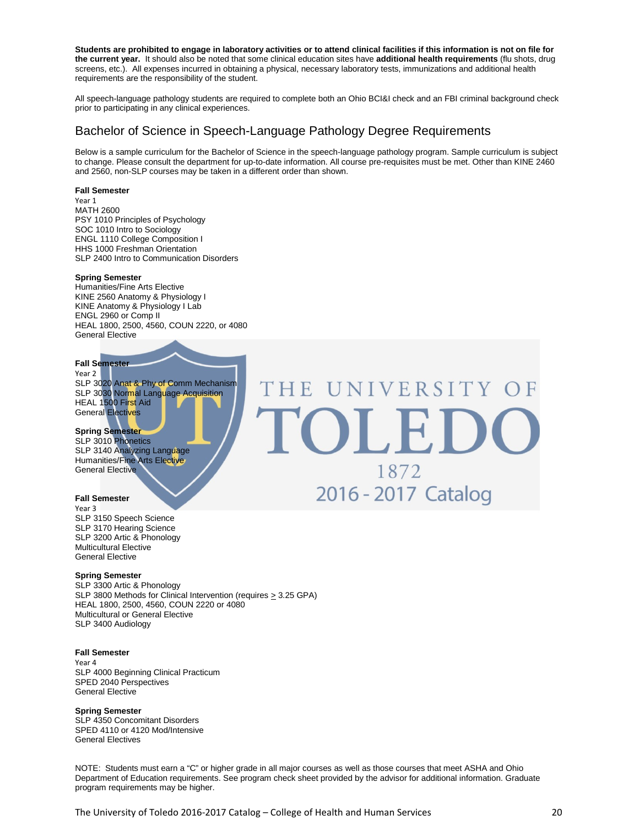**Students are prohibited to engage in laboratory activities or to attend clinical facilities if this information is not on file for the current year.** It should also be noted that some clinical education sites have **additional health requirements** (flu shots, drug screens, etc.). All expenses incurred in obtaining a physical, necessary laboratory tests, immunizations and additional health requirements are the responsibility of the student.

All speech-language pathology students are required to complete both an Ohio BCI&I check and an FBI criminal background check prior to participating in any clinical experiences.

### Bachelor of Science in Speech-Language Pathology Degree Requirements

THE

Below is a sample curriculum for the Bachelor of Science in the speech-language pathology program. Sample curriculum is subject to change. Please consult the department for up-to-date information. All course pre-requisites must be met. Other than KINE 2460 and 2560, non-SLP courses may be taken in a different order than shown.

UNIVERSITY OF

OLEI

1872

2016 - 2017 Catalog

#### **Fall Semester**

Year 1 MATH 2600 PSY 1010 Principles of Psychology SOC 1010 Intro to Sociology ENGL 1110 College Composition I HHS 1000 Freshman Orientation SLP 2400 Intro to Communication Disorders

#### **Spring Semester**

Humanities/Fine Arts Elective KINE 2560 Anatomy & Physiology I KINE Anatomy & Physiology I Lab ENGL 2960 or Comp II HEAL 1800, 2500, 4560, COUN 2220, or 4080 General Elective

#### **Fall Semester**

Year 2 SLP 3020 Anat & Phy of Comm Mechanism SLP 3030 Normal Language Acquisition HEAL 1500 First Aid General Electives

#### **Spring Semester**

SLP 3010 Phonetics SLP 3140 Analyzing Language Humanities/Fine Arts Elective General Elective

#### **Fall Semester**

Year 3 SLP 3150 Speech Science SLP 3170 Hearing Science SLP 3200 Artic & Phonology Multicultural Elective General Elective

#### **Spring Semester**

SLP 3300 Artic & Phonology SLP 3800 Methods for Clinical Intervention (requires > 3.25 GPA) HEAL 1800, 2500, 4560, COUN 2220 or 4080 Multicultural or General Elective SLP 3400 Audiology

#### **Fall Semester**

Year 4 SLP 4000 Beginning Clinical Practicum SPED 2040 Perspectives General Elective

#### **Spring Semester**

SLP 4350 Concomitant Disorders SPED 4110 or 4120 Mod/Intensive General Electives

NOTE: Students must earn a "C" or higher grade in all major courses as well as those courses that meet ASHA and Ohio Department of Education requirements. See program check sheet provided by the advisor for additional information. Graduate program requirements may be higher.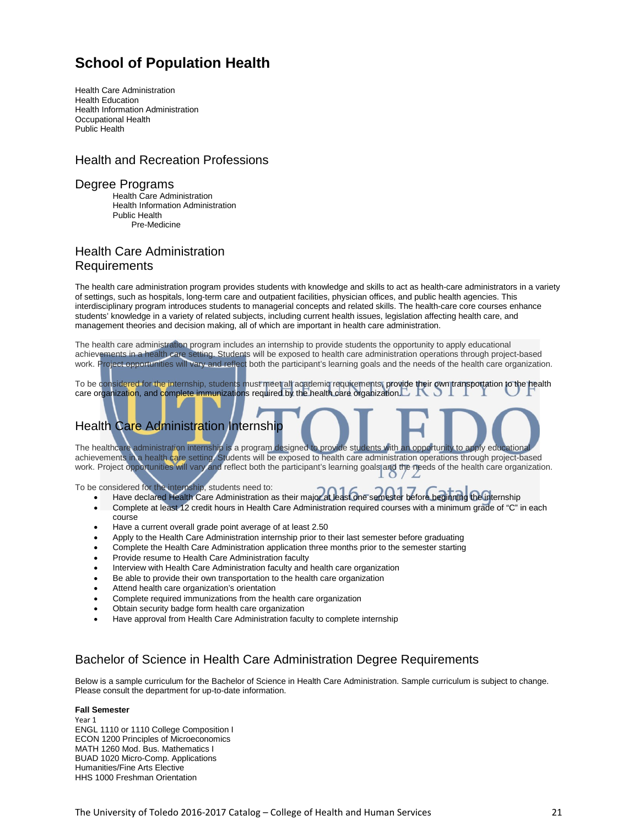### **School of Population Health**

Health Care Administration Health Education Health Information Administration Occupational Health Public Health

### Health and Recreation Professions

#### Degree Programs

Health Care Administration Health Information Administration Public Health Pre-Medicine

### Health Care Administration Requirements

The health care administration program provides students with knowledge and skills to act as health-care administrators in a variety of settings, such as hospitals, long-term care and outpatient facilities, physician offices, and public health agencies. This interdisciplinary program introduces students to managerial concepts and related skills. The health-care core courses enhance students' knowledge in a variety of related subjects, including current health issues, legislation affecting health care, and management theories and decision making, all of which are important in health care administration.

The health care administration program includes an internship to provide students the opportunity to apply educational achievements in a health care setting. Students will be exposed to health care administration operations through project-based work. Project opportunities will vary and reflect both the participant's learning goals and the needs of the health care organization.

To be considered for the internship, students must meet all academic requirements, provide their own transportation to the health care organization, and complete immunizations required by the health care organization.

### **Health Care Administration Internship**

The healthcare administration internship is a program designed to provide students with an opportunity to apply educational achievements in a health care setting. Students will be exposed to health care administration operations through project-based work. Project opportunities will vary and reflect both the participant's learning goals and the needs of the health care organization.

To be considered for the internship, students need to:

- Have declared Health Care Administration as their major at least one semester before beginning the internship
- Complete at least 12 credit hours in Health Care Administration required courses with a minimum grade of "C" in each course
- Have a current overall grade point average of at least 2.50
- Apply to the Health Care Administration internship prior to their last semester before graduating
- Complete the Health Care Administration application three months prior to the semester starting
- Provide resume to Health Care Administration faculty
- Interview with Health Care Administration faculty and health care organization
- Be able to provide their own transportation to the health care organization
- Attend health care organization's orientation
- Complete required immunizations from the health care organization
- Obtain security badge form health care organization
- Have approval from Health Care Administration faculty to complete internship

### Bachelor of Science in Health Care Administration Degree Requirements

Below is a sample curriculum for the Bachelor of Science in Health Care Administration. Sample curriculum is subject to change. Please consult the department for up-to-date information.

#### **Fall Semester**

Year 1 ENGL 1110 or 1110 College Composition I ECON 1200 Principles of Microeconomics MATH 1260 Mod. Bus. Mathematics I BUAD 1020 Micro-Comp. Applications Humanities/Fine Arts Elective HHS 1000 Freshman Orientation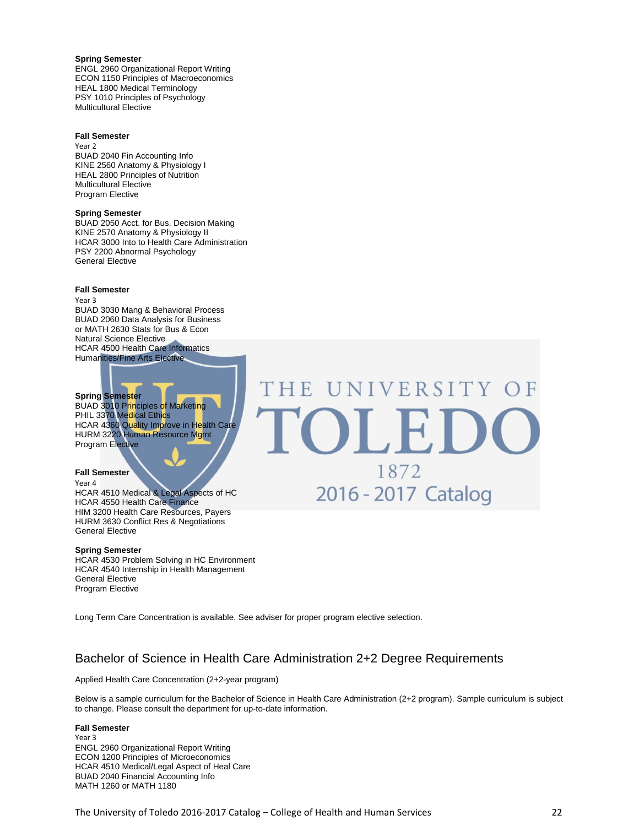**Spring Semester** ENGL 2960 Organizational Report Writing ECON 1150 Principles of Macroeconomics HEAL 1800 Medical Terminology PSY 1010 Principles of Psychology Multicultural Elective

#### **Fall Semester**

Year 2 BUAD 2040 Fin Accounting Info KINE 2560 Anatomy & Physiology I HEAL 2800 Principles of Nutrition Multicultural Elective Program Elective

#### **Spring Semester**

BUAD 2050 Acct. for Bus. Decision Making KINE 2570 Anatomy & Physiology II HCAR 3000 Into to Health Care Administration PSY 2200 Abnormal Psychology General Elective

#### **Fall Semester**

Year 3 BUAD 3030 Mang & Behavioral Process BUAD 2060 Data Analysis for Business or MATH 2630 Stats for Bus & Econ Natural Science Elective HCAR 4500 Health Care Informatics Humanities/Fine Arts Elective

#### **Spring Semester**

BUAD 3010 P<mark>rin</mark>ciples of Marketing PHIL 3370 Medical Ethics HCAR 4360 Quality Improve in Health Care HURM 3220 Human Resource Mgmt Program Elective

#### **Fall Semester**

Year 4 HCAR 4510 Medical & Legal Aspects of HC HCAR 4550 Health Care Finance HIM 3200 Health Care Resources, Payers HURM 3630 Conflict Res & Negotiations General Elective

#### **Spring Semester**

HCAR 4530 Problem Solving in HC Environment HCAR 4540 Internship in Health Management General Elective Program Elective

Long Term Care Concentration is available. See adviser for proper program elective selection.

### Bachelor of Science in Health Care Administration 2+2 Degree Requirements

Applied Health Care Concentration (2+2-year program)

Below is a sample curriculum for the Bachelor of Science in Health Care Administration (2+2 program). Sample curriculum is subject to change. Please consult the department for up-to-date information.

#### **Fall Semester**

Year 3 ENGL 2960 Organizational Report Writing ECON 1200 Principles of Microeconomics HCAR 4510 Medical/Legal Aspect of Heal Care BUAD 2040 Financial Accounting Info MATH 1260 or MATH 1180

UNIVERSITY OF THE 1872 2016 - 2017 Catalog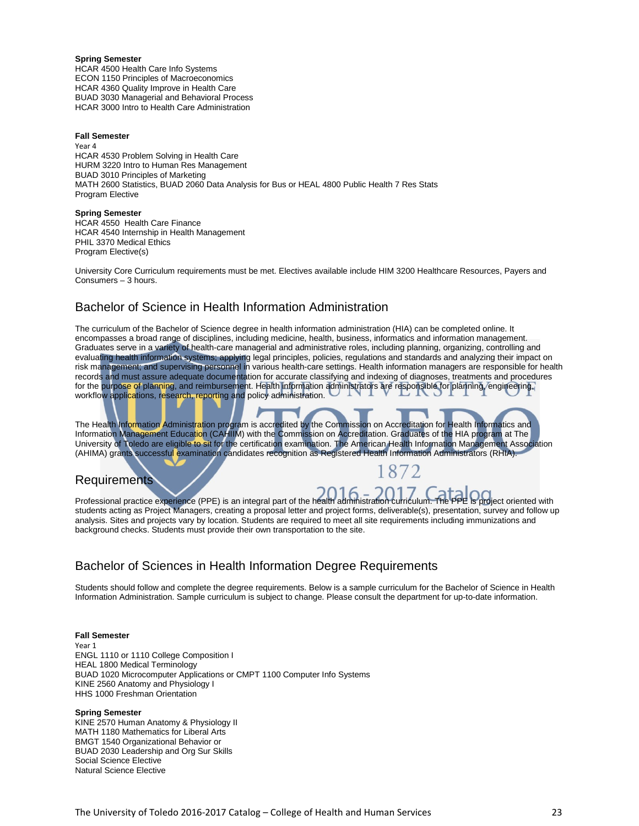**Spring Semester** HCAR 4500 Health Care Info Systems ECON 1150 Principles of Macroeconomics HCAR 4360 Quality Improve in Health Care BUAD 3030 Managerial and Behavioral Process HCAR 3000 Intro to Health Care Administration

#### **Fall Semester**

Year 4 HCAR 4530 Problem Solving in Health Care HURM 3220 Intro to Human Res Management BUAD 3010 Principles of Marketing MATH 2600 Statistics, BUAD 2060 Data Analysis for Bus or HEAL 4800 Public Health 7 Res Stats Program Elective

#### **Spring Semester**

HCAR 4550 Health Care Finance HCAR 4540 Internship in Health Management PHIL 3370 Medical Ethics Program Elective(s)

University Core Curriculum requirements must be met. Electives available include HIM 3200 Healthcare Resources, Payers and Consumers – 3 hours.

### Bachelor of Science in Health Information Administration

The curriculum of the Bachelor of Science degree in health information administration (HIA) can be completed online. It encompasses a broad range of disciplines, including medicine, health, business, informatics and information management. Graduates serve in a variety of health-care managerial and administrative roles, including planning, organizing, controlling and evaluating health information systems; applying legal principles, policies, regulations and standards and analyzing their impact on risk management; and supervising personnel in various health-care settings. Health information managers are responsible for health records and must assure adequate documentation for accurate classifying and indexing of diagnoses, treatments and procedures for the purpose of planning, and reimbursement. Health information administrators are responsible for planning, engineering, workflow applications, research, reporting and policy administration.

The Health Information Administration program is accredited by the Commission on Accreditation for Health Informatics and Information Management Education (CAHIIM) with the Commission on Accreditation. Graduates of the HIA program at The University of Toledo are eligible to sit for the certification examination. The American Health Information Management Association (AHIMA) grants successful examination candidates recognition as Registered Health Information Administrators (RHIA).

### **Requirements**

Professional practice experience (PPE) is an integral part of the health administration curriculum. The PPE is project oriented with students acting as Project Managers, creating a proposal letter and project forms, deliverable(s), presentation, survey and follow up analysis. Sites and projects vary by location. Students are required to meet all site requirements including immunizations and background checks. Students must provide their own transportation to the site.

### Bachelor of Sciences in Health Information Degree Requirements

Students should follow and complete the degree requirements. Below is a sample curriculum for the Bachelor of Science in Health Information Administration. Sample curriculum is subject to change. Please consult the department for up-to-date information.

#### **Fall Semester**

Year 1 ENGL 1110 or 1110 College Composition I HEAL 1800 Medical Terminology BUAD 1020 Microcomputer Applications or CMPT 1100 Computer Info Systems KINE 2560 Anatomy and Physiology I HHS 1000 Freshman Orientation

#### **Spring Semester**

KINE 2570 Human Anatomy & Physiology II MATH 1180 Mathematics for Liberal Arts BMGT 1540 Organizational Behavior or BUAD 2030 Leadership and Org Sur Skills Social Science Elective Natural Science Elective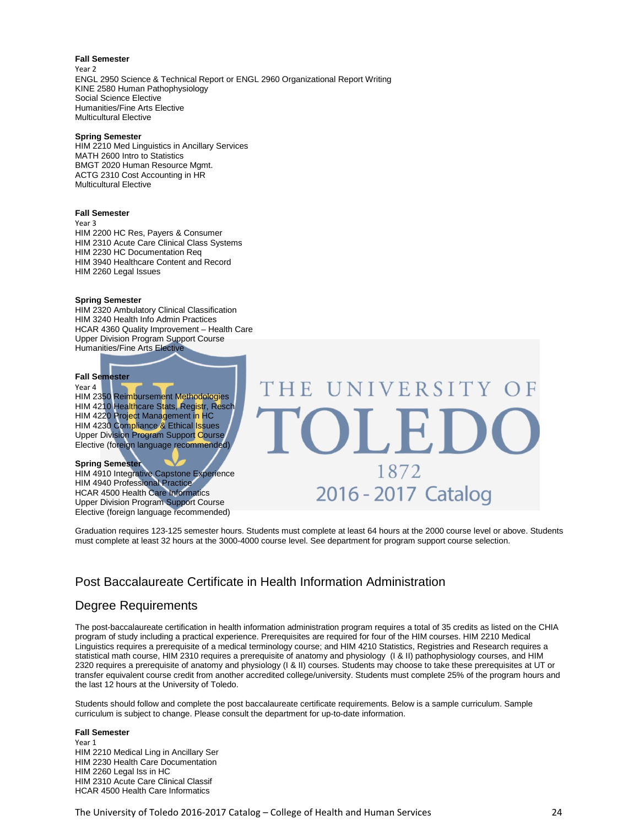#### **Fall Semester**

Year 2 ENGL 2950 Science & Technical Report or ENGL 2960 Organizational Report Writing KINE 2580 Human Pathophysiology Social Science Elective Humanities/Fine Arts Elective Multicultural Elective

#### **Spring Semester**

HIM 2210 Med Linguistics in Ancillary Services MATH 2600 Intro to Statistics BMGT 2020 Human Resource Mgmt. ACTG 2310 Cost Accounting in HR Multicultural Elective

#### **Fall Semester**

Year 3 HIM 2200 HC Res, Payers & Consumer HIM 2310 Acute Care Clinical Class Systems HIM 2230 HC Documentation Req HIM 3940 Healthcare Content and Record HIM 2260 Legal Issues

#### **Spring Semester**

HIM 2320 Ambulatory Clinical Classification HIM 3240 Health Info Admin Practices HCAR 4360 Quality Improvement – Health Care Upper Division Program Support Course Humanities/Fine Arts Elective

#### **Fall Semester**

Year 4

HIM 2350 Reimbursement Methodologies HIM 4210 Healthcare Stats, Registr, Resch HIM 4220 Project Management in HC HIM 4230 Compliance & Ethical Issues Upper Division Program Support Course Elective (foreign language recommended)

**Spring Semester**

HIM 4910 Integrative Capstone Experience HIM 4940 Professional Practice HCAR 4500 Health Care Informatics Upper Division Program Support Course Elective (foreign language recommended)

UNIVERSITY OF THE  $\bigcap$ 1872 2016 - 2017 Catalog

Graduation requires 123-125 semester hours. Students must complete at least 64 hours at the 2000 course level or above. Students must complete at least 32 hours at the 3000-4000 course level. See department for program support course selection.

### Post Baccalaureate Certificate in Health Information Administration

### Degree Requirements

The post-baccalaureate certification in health information administration program requires a total of 35 credits as listed on the CHIA program of study including a practical experience. Prerequisites are required for four of the HIM courses. HIM 2210 Medical Linguistics requires a prerequisite of a medical terminology course; and HIM 4210 Statistics, Registries and Research requires a statistical math course, HIM 2310 requires a prerequisite of anatomy and physiology (I & II) pathophysiology courses, and HIM 2320 requires a prerequisite of anatomy and physiology (I & II) courses. Students may choose to take these prerequisites at UT or transfer equivalent course credit from another accredited college/university. Students must complete 25% of the program hours and the last 12 hours at the University of Toledo.

Students should follow and complete the post baccalaureate certificate requirements. Below is a sample curriculum. Sample curriculum is subject to change. Please consult the department for up-to-date information.

#### **Fall Semester**

Year 1 HIM 2210 Medical Ling in Ancillary Ser HIM 2230 Health Care Documentation HIM 2260 Legal Iss in HC HIM 2310 Acute Care Clinical Classif HCAR 4500 Health Care Informatics

The University of Toledo 2016-2017 Catalog – College of Health and Human Services 24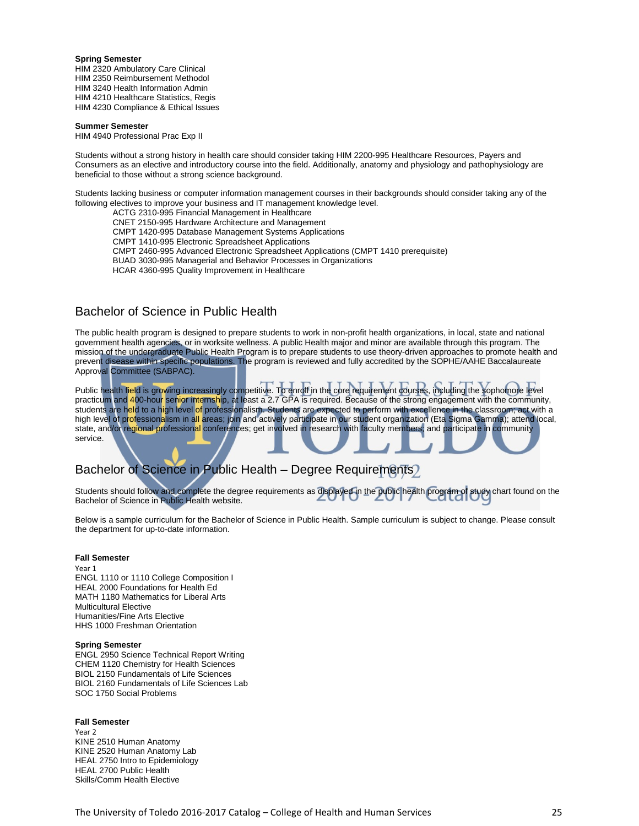#### **Spring Semester**

HIM 2320 Ambulatory Care Clinical HIM 2350 Reimbursement Methodol HIM 3240 Health Information Admin HIM 4210 Healthcare Statistics, Regis HIM 4230 Compliance & Ethical Issues

#### **Summer Semester**

HIM 4940 Professional Prac Exp II

Students without a strong history in health care should consider taking HIM 2200-995 Healthcare Resources, Payers and Consumers as an elective and introductory course into the field. Additionally, anatomy and physiology and pathophysiology are beneficial to those without a strong science background.

Students lacking business or computer information management courses in their backgrounds should consider taking any of the following electives to improve your business and IT management knowledge level.

- ACTG 2310-995 Financial Management in Healthcare
- CNET 2150-995 Hardware Architecture and Management
- CMPT 1420-995 Database Management Systems Applications
- CMPT 1410-995 Electronic Spreadsheet Applications
- CMPT 2460-995 Advanced Electronic Spreadsheet Applications (CMPT 1410 prerequisite)
- BUAD 3030-995 Managerial and Behavior Processes in Organizations
- HCAR 4360-995 Quality Improvement in Healthcare

### Bachelor of Science in Public Health

The public health program is designed to prepare students to work in non-profit health organizations, in local, state and national government health agencies, or in worksite wellness. A public Health major and minor are available through this program. The mission of the undergraduate Public Health Program is to prepare students to use theory-driven approaches to promote health and prevent disease within specific populations. The program is reviewed and fully accredited by the SOPHE/AAHE Baccalaureate Approval Committee (SABPAC).

Public health field is growing increasingly competitive. To enroll in the core requirement courses, including the sophomore level practicum and 400-hour senior internship, at least a 2.7 GPA is required. Because of the strong engagement with the community, students are held to a high level of professionalism. Students are expected to perform with excellence in the classroom; act with a high level of professionalism in all areas; join and actively participate in our student organization (Eta Sigma Gamma); attend local, state, and/or regional professional conferences; get involved in research with faculty members; and participate in community service.

### Bachelor of Science in Public Health – Degree Requirements)

Students should follow and complete the degree requirements as displayed in the public health program of study chart found on the Bachelor of Science in Public Health website.

Below is a sample curriculum for the Bachelor of Science in Public Health. Sample curriculum is subject to change. Please consult the department for up-to-date information.

#### **Fall Semester**

Year 1 ENGL 1110 or 1110 College Composition I HEAL 2000 Foundations for Health Ed MATH 1180 Mathematics for Liberal Arts Multicultural Elective Humanities/Fine Arts Elective HHS 1000 Freshman Orientation

#### **Spring Semester**

ENGL 2950 Science Technical Report Writing CHEM 1120 Chemistry for Health Sciences BIOL 2150 Fundamentals of Life Sciences BIOL 2160 Fundamentals of Life Sciences Lab SOC 1750 Social Problems

#### **Fall Semester**

Year 2 KINE 2510 Human Anatomy KINE 2520 Human Anatomy Lab HEAL 2750 Intro to Epidemiology HEAL 2700 Public Health Skills/Comm Health Elective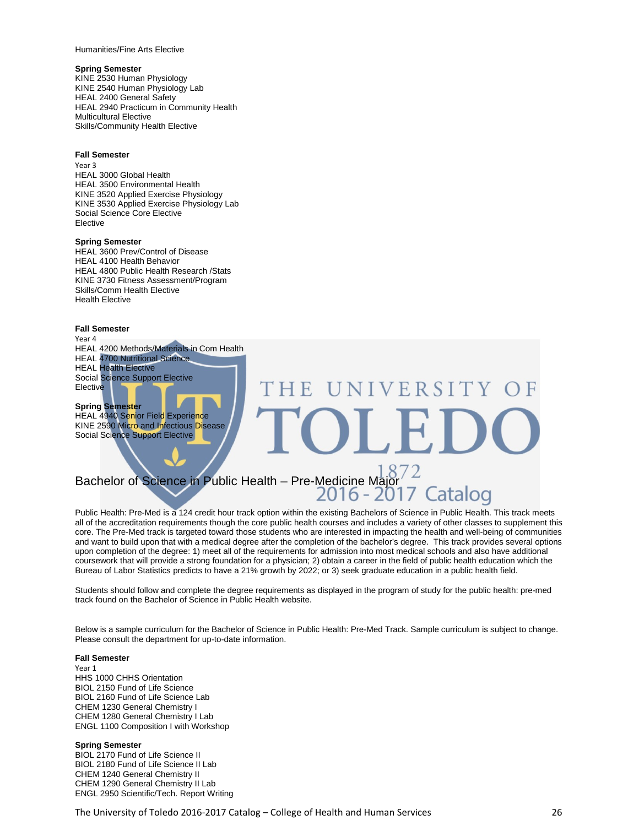Humanities/Fine Arts Elective

#### **Spring Semester**

KINE 2530 Human Physiology KINE 2540 Human Physiology Lab HEAL 2400 General Safety HEAL 2940 Practicum in Community Health Multicultural Elective Skills/Community Health Elective

#### **Fall Semester**

Year 3 HEAL 3000 Global Health HEAL 3500 Environmental Health KINE 3520 Applied Exercise Physiology KINE 3530 Applied Exercise Physiology Lab Social Science Core Elective Elective

#### **Spring Semester**

HEAL 3600 Prev/Control of Disease HEAL 4100 Health Behavior HEAL 4800 Public Health Research /Stats KINE 3730 Fitness Assessment/Program Skills/Comm Health Elective Health Elective

#### **Fall Semester**

Year 4

HEAL 4200 Methods/Materials in Com Health HEAL 4700 Nutritional Science HEAL Health Elective Social Science Support Elective **Elective** 

#### **Spring Semester**

HEAL 4940 Senior Field Experience KINE 2590 Micro and Infectious Disease Social Science Support Elective

# Bachelor of Science in Public Health – Pre-Medicine Major<br>2016 - 2017 Catalog

Public Health: Pre-Med is a 124 credit hour track option within the existing Bachelors of Science in Public Health. This track meets all of the accreditation requirements though the core public health courses and includes a variety of other classes to supplement this core. The Pre-Med track is targeted toward those students who are interested in impacting the health and well-being of communities and want to build upon that with a medical degree after the completion of the bachelor's degree. This track provides several options upon completion of the degree: 1) meet all of the requirements for admission into most medical schools and also have additional coursework that will provide a strong foundation for a physician; 2) obtain a career in the field of public health education which the Bureau of Labor Statistics predicts to have a 21% growth by 2022; or 3) seek graduate education in a public health field.

UNIVERSITY

Students should follow and complete the degree requirements as displayed in the program of study for the public health: pre-med track found on the Bachelor of Science in Public Health website.

Below is a sample curriculum for the Bachelor of Science in Public Health: Pre-Med Track. Sample curriculum is subject to change. Please consult the department for up-to-date information.

#### **Fall Semester**

Year 1 HHS 1000 CHHS Orientation BIOL 2150 Fund of Life Science BIOL 2160 Fund of Life Science Lab CHEM 1230 General Chemistry I CHEM 1280 General Chemistry I Lab ENGL 1100 Composition I with Workshop

#### **Spring Semester**

BIOL 2170 Fund of Life Science II BIOL 2180 Fund of Life Science II Lab CHEM 1240 General Chemistry II CHEM 1290 General Chemistry II Lab ENGL 2950 Scientific/Tech. Report Writing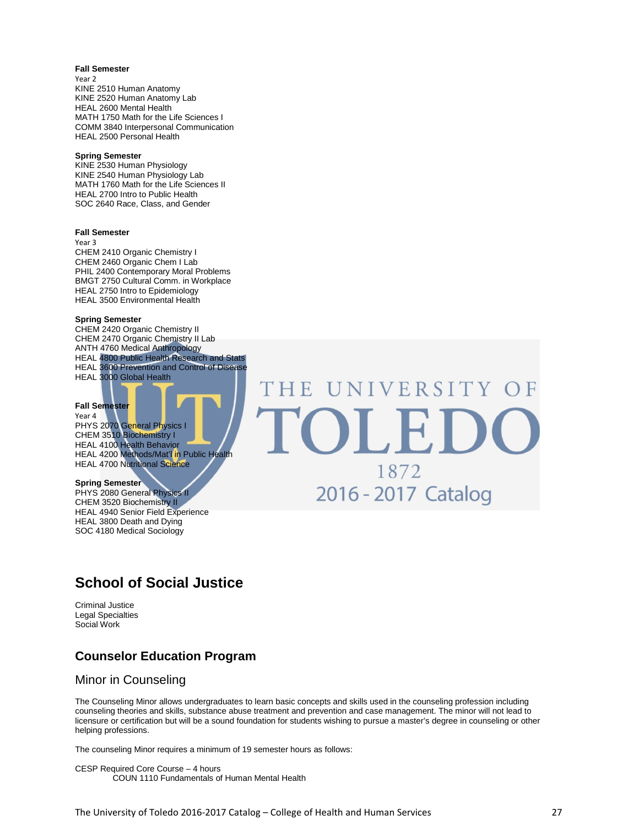#### **Fall Semester**

Year 2 KINE 2510 Human Anatomy KINE 2520 Human Anatomy Lab HEAL 2600 Mental Health MATH 1750 Math for the Life Sciences I COMM 3840 Interpersonal Communication HEAL 2500 Personal Health

#### **Spring Semester**

KINE 2530 Human Physiology KINE 2540 Human Physiology Lab MATH 1760 Math for the Life Sciences II HEAL 2700 Intro to Public Health SOC 2640 Race, Class, and Gender

#### **Fall Semester**

Year 3

CHEM 2410 Organic Chemistry I CHEM 2460 Organic Chem I Lab PHIL 2400 Contemporary Moral Problems BMGT 2750 Cultural Comm. in Workplace HEAL 2750 Intro to Epidemiology HEAL 3500 Environmental Health

#### **Spring Semester**

CHEM 2420 Organic Chemistry II CHEM 2470 Organic Chemistry II Lab ANTH 4760 Medical Anthropology HEAL 4800 Public Health Research and Stats HEAL 3600 Prevention and Control of Disease HEAL 3000 Global Health

#### **Fall Semester**

Year 4 PHYS 2070 General Physics I CHEM 3510 Biochemistry I HEAL 4100 Health Behavior HEAL 4200 Methods/Mat'l in Public Health HEAL 4700 Nutritional Science

#### **Spring Semester**

PHYS 2080 General Physics II CHEM 3520 Biochemistry II HEAL 4940 Senior Field Experience HEAL 3800 Death and Dying SOC 4180 Medical Sociology

## UNIVERSITY OF THE OLI 1872 2016 - 2017 Catalog

### **School of Social Justice**

Criminal Justice Legal Specialties Social Work

### **Counselor Education Program**

#### Minor in Counseling

The Counseling Minor allows undergraduates to learn basic concepts and skills used in the counseling profession including counseling theories and skills, substance abuse treatment and prevention and case management. The minor will not lead to licensure or certification but will be a sound foundation for students wishing to pursue a master's degree in counseling or other helping professions.

The counseling Minor requires a minimum of 19 semester hours as follows:

CESP Required Core Course – 4 hours COUN 1110 Fundamentals of Human Mental Health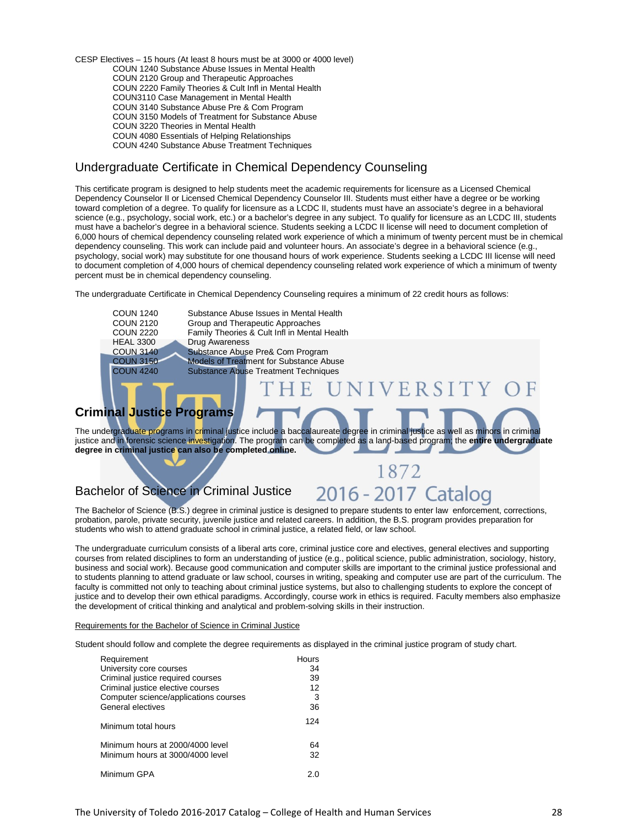CESP Electives – 15 hours (At least 8 hours must be at 3000 or 4000 level) COUN 1240 Substance Abuse Issues in Mental Health COUN 2120 Group and Therapeutic Approaches COUN 2220 Family Theories & Cult Infl in Mental Health COUN3110 Case Management in Mental Health COUN 3140 Substance Abuse Pre & Com Program COUN 3150 Models of Treatment for Substance Abuse COUN 3220 Theories in Mental Health COUN 4080 Essentials of Helping Relationships COUN 4240 Substance Abuse Treatment Techniques

### Undergraduate Certificate in Chemical Dependency Counseling

This certificate program is designed to help students meet the academic requirements for licensure as a Licensed Chemical Dependency Counselor II or Licensed Chemical Dependency Counselor III. Students must either have a degree or be working toward completion of a degree. To qualify for licensure as a LCDC II, students must have an associate's degree in a behavioral science (e.g., psychology, social work, etc.) or a bachelor's degree in any subject. To qualify for licensure as an LCDC III, students must have a bachelor's degree in a behavioral science. Students seeking a LCDC II license will need to document completion of 6,000 hours of chemical dependency counseling related work experience of which a minimum of twenty percent must be in chemical dependency counseling. This work can include paid and volunteer hours. An associate's degree in a behavioral science (e.g., psychology, social work) may substitute for one thousand hours of work experience. Students seeking a LCDC III license will need to document completion of 4,000 hours of chemical dependency counseling related work experience of which a minimum of twenty percent must be in chemical dependency counseling.

The undergraduate Certificate in Chemical Dependency Counseling requires a minimum of 22 credit hours as follows:

COUN 1240 Substance Abuse Issues in Mental Health<br>COUN 2120 Group and Therapeutic Approaches COUN 2120 Group and Therapeutic Approaches<br>COUN 2220 Family Theories & Cult Infl in Mental COUN 2220 Family Theories & Cult Infl in Mental Health HEAL 3300 Drug Awareness<br>COUN 3140 Substance Abuse COUN 3140 Substance Abuse Pre& Com Program<br>COUN 3150 Models of Treatment for Substance Ab COUN 3150 Models of Treatment for Substance Abuse<br>COUN 4240 Substance Abuse Treatment Techniques **Substance Abuse Treatment Techniques** 

### **Criminal Justice Programs**

The undergraduate programs in criminal justice include a baccalaureate degree in criminal justice as well as minors in criminal justice and in forensic science investigation. The program can be completed as a land-based program; the **entire undergraduate degree in criminal justice can also be completed online.**

### Bachelor of Science in Criminal Justice

2016 - 2017 Catalog

1872

VERSIT

The Bachelor of Science (B.S.) degree in criminal justice is designed to prepare students to enter law enforcement, corrections, probation, parole, private security, juvenile justice and related careers. In addition, the B.S. program provides preparation for students who wish to attend graduate school in criminal justice, a related field, or law school.

The undergraduate curriculum consists of a liberal arts core, criminal justice core and electives, general electives and supporting courses from related disciplines to form an understanding of justice (e.g., political science, public administration, sociology, history, business and social work). Because good communication and computer skills are important to the criminal justice professional and to students planning to attend graduate or law school, courses in writing, speaking and computer use are part of the curriculum. The faculty is committed not only to teaching about criminal justice systems, but also to challenging students to explore the concept of justice and to develop their own ethical paradigms. Accordingly, course work in ethics is required. Faculty members also emphasize the development of critical thinking and analytical and problem-solving skills in their instruction.

#### Requirements for the Bachelor of Science in Criminal Justice

Student should follow and complete the degree requirements as displayed in the criminal justice program of study chart.

| Requirement                           | Hours |
|---------------------------------------|-------|
| University core courses               | 34    |
| Criminal justice required courses     | 39    |
| Criminal justice elective courses     | 12    |
| Computer science/applications courses | 3     |
| General electives                     | 36    |
| Minimum total hours                   | 124   |
| Minimum hours at 2000/4000 level      | 64    |
| Minimum hours at 3000/4000 level      | 32    |
| Minimum GPA                           | 2.0   |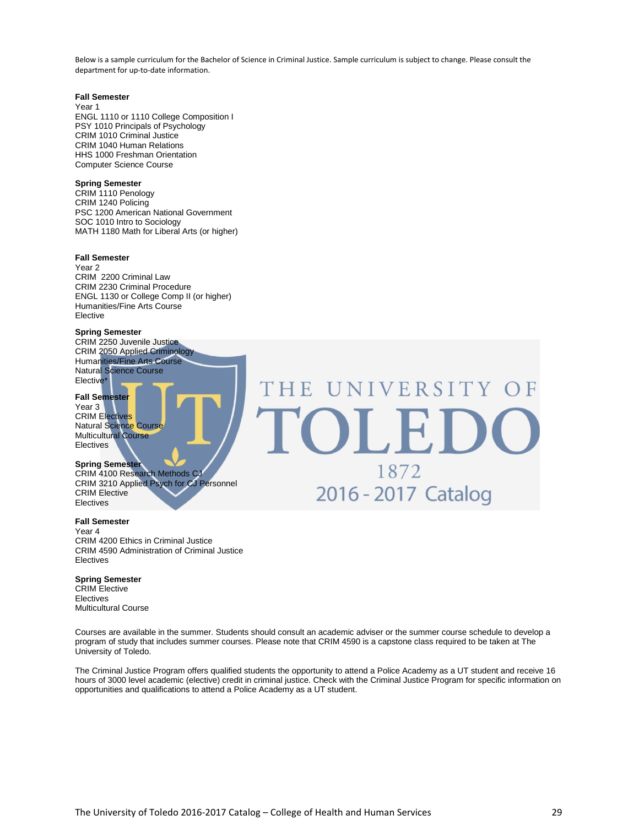Below is a sample curriculum for the Bachelor of Science in Criminal Justice. Sample curriculum is subject to change. Please consult the department for up-to-date information.

#### **Fall Semester**

Year 1 ENGL 1110 or 1110 College Composition I PSY 1010 Principals of Psychology CRIM 1010 Criminal Justice CRIM 1040 Human Relations HHS 1000 Freshman Orientation Computer Science Course

#### **Spring Semester**

CRIM 1110 Penology CRIM 1240 Policing PSC 1200 American National Government SOC 1010 Intro to Sociology MATH 1180 Math for Liberal Arts (or higher)

#### **Fall Semester**

Year 2 CRIM 2200 Criminal Law CRIM 2230 Criminal Procedure ENGL 1130 or College Comp II (or higher) Humanities/Fine Arts Course Elective

#### **Spring Semester**

CRIM 2250 Juvenile Justice CRIM 2050 Applied Criminology Humanities/Fine Arts Course Natural Science Course Elective\*

#### **Fall Semester**

Year 3 CRIM Electives Natural Science Course Multicultural Course Electives

#### **Spring Semester**

CRIM 4100 Research Methods CJ CRIM 3210 Applied Psych for CJ Personnel CRIM Elective Electives

#### **Fall Semester**

Year 4 CRIM 4200 Ethics in Criminal Justice CRIM 4590 Administration of Criminal Justice Electives

#### **Spring Semester**

CRIM Elective Electives Multicultural Course

Courses are available in the summer. Students should consult an academic adviser or the summer course schedule to develop a program of study that includes summer courses. Please note that CRIM 4590 is a capstone class required to be taken at The University of Toledo.

NIVERSITY OF

1872

2016 - 2017 Catalog

The Criminal Justice Program offers qualified students the opportunity to attend a Police Academy as a UT student and receive 16 hours of 3000 level academic (elective) credit in criminal justice. Check with the Criminal Justice Program for specific information on opportunities and qualifications to attend a Police Academy as a UT student.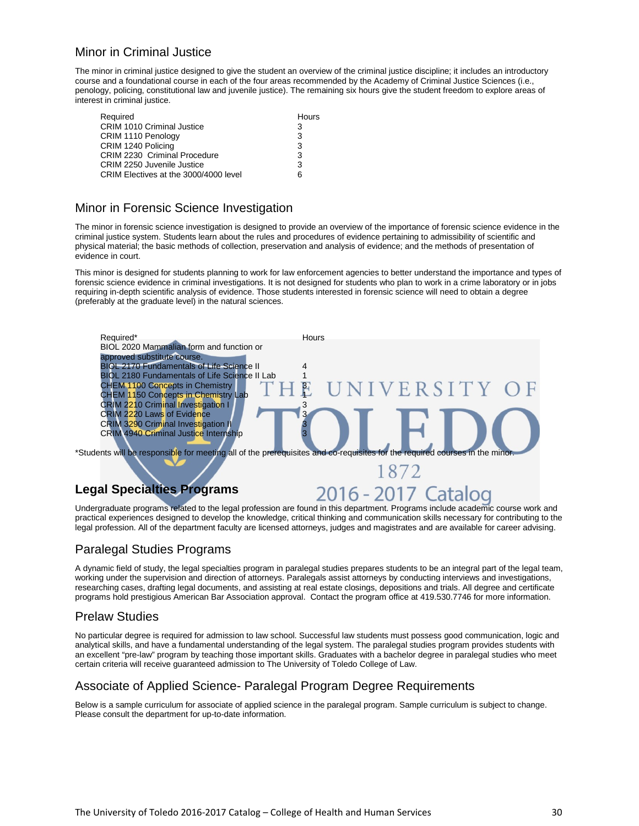### Minor in Criminal Justice

The minor in criminal justice designed to give the student an overview of the criminal justice discipline; it includes an introductory course and a foundational course in each of the four areas recommended by the Academy of Criminal Justice Sciences (i.e., penology, policing, constitutional law and juvenile justice). The remaining six hours give the student freedom to explore areas of interest in criminal justice.

| Required                              | Hours |
|---------------------------------------|-------|
| <b>CRIM 1010 Criminal Justice</b>     | 3     |
| CRIM 1110 Penology                    | 3     |
| CRIM 1240 Policing                    | 3     |
| CRIM 2230 Criminal Procedure          | 3     |
| CRIM 2250 Juvenile Justice            | 3     |
| CRIM Electives at the 3000/4000 level | 6     |

### Minor in Forensic Science Investigation

The minor in forensic science investigation is designed to provide an overview of the importance of forensic science evidence in the criminal justice system. Students learn about the rules and procedures of evidence pertaining to admissibility of scientific and physical material; the basic methods of collection, preservation and analysis of evidence; and the methods of presentation of evidence in court.

This minor is designed for students planning to work for law enforcement agencies to better understand the importance and types of forensic science evidence in criminal investigations. It is not designed for students who plan to work in a crime laboratory or in jobs requiring in-depth scientific analysis of evidence. Those students interested in forensic science will need to obtain a degree (preferably at the graduate level) in the natural sciences.



Undergraduate programs related to the legal profession are found in this department. Programs include academic course work and practical experiences designed to develop the knowledge, critical thinking and communication skills necessary for contributing to the legal profession. All of the department faculty are licensed attorneys, judges and magistrates and are available for career advising.

### Paralegal Studies Programs

A dynamic field of study, the legal specialties program in paralegal studies prepares students to be an integral part of the legal team, working under the supervision and direction of attorneys. Paralegals assist attorneys by conducting interviews and investigations, researching cases, drafting legal documents, and assisting at real estate closings, depositions and trials. All degree and certificate programs hold prestigious American Bar Association approval. Contact the program office at 419.530.7746 for more information.

### Prelaw Studies

No particular degree is required for admission to law school. Successful law students must possess good communication, logic and analytical skills, and have a fundamental understanding of the legal system. The paralegal studies program provides students with an excellent "pre-law" program by teaching those important skills. Graduates with a bachelor degree in paralegal studies who meet certain criteria will receive guaranteed admission to The University of Toledo College of Law.

### Associate of Applied Science- Paralegal Program Degree Requirements

Below is a sample curriculum for associate of applied science in the paralegal program. Sample curriculum is subject to change. Please consult the department for up-to-date information.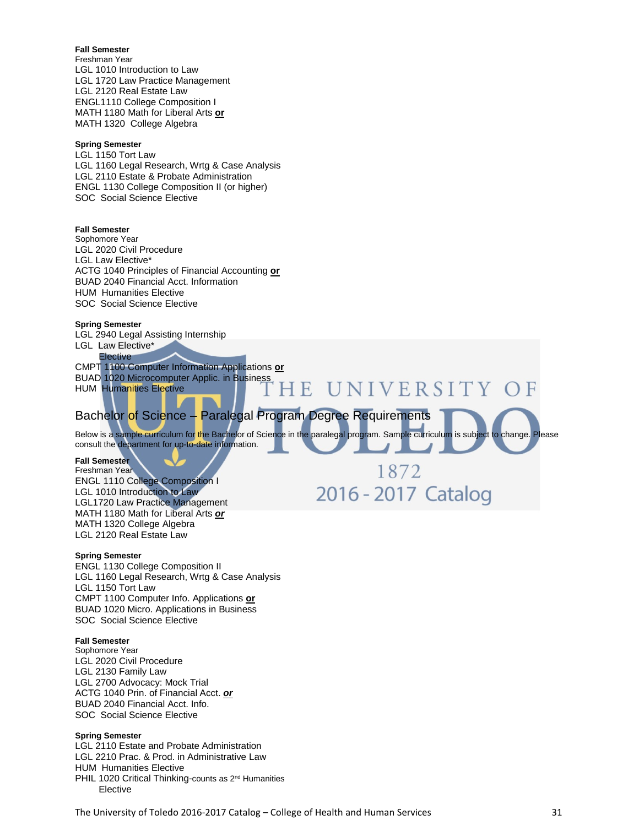#### **Fall Semester**

Freshman Year LGL 1010 Introduction to Law LGL 1720 Law Practice Management LGL 2120 Real Estate Law ENGL1110 College Composition I MATH 1180 Math for Liberal Arts **or** MATH 1320 College Algebra

#### **Spring Semester**

LGL 1150 Tort Law LGL 1160 Legal Research, Wrtg & Case Analysis LGL 2110 Estate & Probate Administration ENGL 1130 College Composition II (or higher) SOC Social Science Elective

#### **Fall Semester**

Sophomore Year LGL 2020 Civil Procedure LGL Law Elective\* ACTG 1040 Principles of Financial Accounting **or** BUAD 2040 Financial Acct. Information HUM Humanities Elective SOC Social Science Elective

#### **Spring Semester**

LGL 2940 Legal Assisting Internship LGL Law Elective\*

#### **Elective**

CMPT 1100 Computer Information Applications **or** BUAD 1020 Microcomputer Applic. in Business HUM Humanities Elective

### Bachelor of Science – Paralegal Program Degree Requirements

1 E

UNIVERSITY OF

1872

2016 - 2017 Catalog

Below is a sample curriculum for the Bachelor of Science in the paralegal program. Sample curriculum is subject to change. Please consult the department for up-to-date information.

#### **Fall Semester**

Freshman Year ENGL 1110 College Composition I LGL 1010 Introduction to Law LGL1720 Law Practice Management MATH 1180 Math for Liberal Arts *or* MATH 1320 College Algebra LGL 2120 Real Estate Law

#### **Spring Semester**

ENGL 1130 College Composition II LGL 1160 Legal Research, Wrtg & Case Analysis LGL 1150 Tort Law CMPT 1100 Computer Info. Applications **or** BUAD 1020 Micro. Applications in Business SOC Social Science Elective

#### **Fall Semester**

Sophomore Year LGL 2020 Civil Procedure LGL 2130 Family Law LGL 2700 Advocacy: Mock Trial ACTG 1040 Prin. of Financial Acct. *or* BUAD 2040 Financial Acct. Info. SOC Social Science Elective

#### **Spring Semester**

LGL 2110 Estate and Probate Administration LGL 2210 Prac. & Prod. in Administrative Law HUM Humanities Elective PHIL 1020 Critical Thinking-counts as 2<sup>nd</sup> Humanities Elective

The University of Toledo 2016-2017 Catalog – College of Health and Human Services 31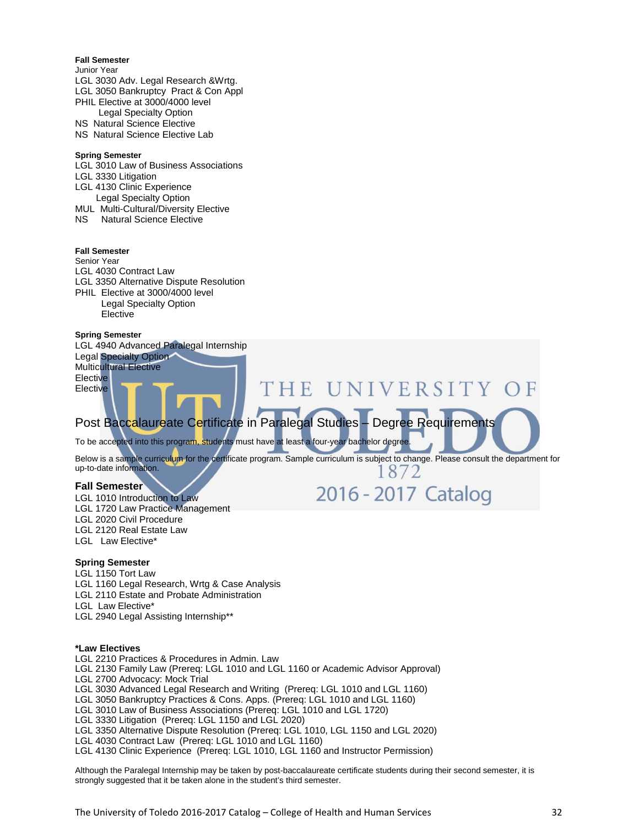#### **Fall Semester**

- Junior Year LGL 3030 Adv. Legal Research &Wrtg. LGL 3050 Bankruptcy Pract & Con Appl PHIL Elective at 3000/4000 level Legal Specialty Option NS Natural Science Elective
- NS Natural Science Elective Lab

#### **Spring Semester**

- LGL 3010 Law of Business Associations
- LGL 3330 Litigation
- LGL 4130 Clinic Experience Legal Specialty Option
- MUL Multi-Cultural/Diversity Elective
- NS Natural Science Elective

#### **Fall Semester**

#### Senior Year

- LGL 4030 Contract Law
- LGL 3350 Alternative Dispute Resolution
- PHIL Elective at 3000/4000 level
- Legal Specialty Option **Elective**

#### **Spring Semester**

LGL 4940 Advanced Paralegal Internship Legal Specialty Option Multicultural Elective **Elective Elective** 

### Post Baccalaureate Certificate in Paralegal Studies – Degree Requirements

To be accepted into this program, students must have at least a four-year bachelor degree

Below is a sample curriculum for the certificate program. Sample curriculum is subject to change. Please consult the department for up-to-date information. 1872

'HE UNIVERSITY OF

2016 - 2017 Catalog

#### **Fall Semester**

- LGL 1010 Introduction to Law
- LGL 1720 Law Practice Management
- LGL 2020 Civil Procedure
- LGL 2120 Real Estate Law
- LGL Law Elective\*

#### **Spring Semester**

- LGL 1150 Tort Law
- LGL 1160 Legal Research, Wrtg & Case Analysis
- LGL 2110 Estate and Probate Administration
- LGL Law Elective\*
- LGL 2940 Legal Assisting Internship\*\*

#### **\*Law Electives**

- LGL 2210 Practices & Procedures in Admin. Law
- LGL 2130 Family Law (Prereq: LGL 1010 and LGL 1160 or Academic Advisor Approval)
- LGL 2700 Advocacy: Mock Trial
- LGL 3030 Advanced Legal Research and Writing (Prereq: LGL 1010 and LGL 1160)
- LGL 3050 Bankruptcy Practices & Cons. Apps. (Prereq: LGL 1010 and LGL 1160)
- LGL 3010 Law of Business Associations (Prereq: LGL 1010 and LGL 1720)
- LGL 3330 Litigation (Prereq: LGL 1150 and LGL 2020)
- LGL 3350 Alternative Dispute Resolution (Prereq: LGL 1010, LGL 1150 and LGL 2020)
- LGL 4030 Contract Law (Prereq: LGL 1010 and LGL 1160)
- LGL 4130 Clinic Experience (Prereq: LGL 1010, LGL 1160 and Instructor Permission)

Although the Paralegal Internship may be taken by post-baccalaureate certificate students during their second semester, it is strongly suggested that it be taken alone in the student's third semester.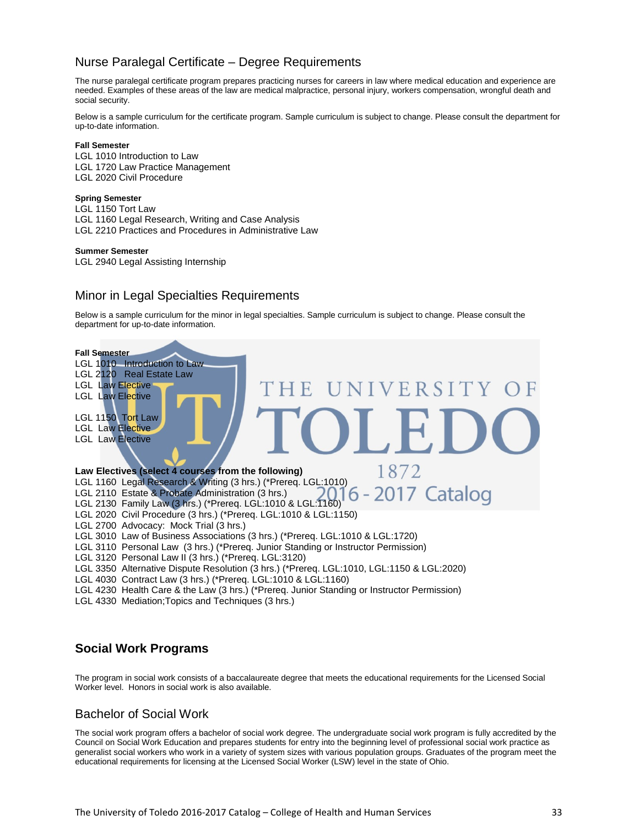### Nurse Paralegal Certificate – Degree Requirements

The nurse paralegal certificate program prepares practicing nurses for careers in law where medical education and experience are needed. Examples of these areas of the law are medical malpractice, personal injury, workers compensation, wrongful death and social security.

Below is a sample curriculum for the certificate program. Sample curriculum is subject to change. Please consult the department for up-to-date information.

#### **Fall Semester**

LGL 1010 Introduction to Law LGL 1720 Law Practice Management LGL 2020 Civil Procedure

#### **Spring Semester**

LGL 1150 Tort Law LGL 1160 Legal Research, Writing and Case Analysis LGL 2210 Practices and Procedures in Administrative Law

#### **Summer Semester**

LGL 2940 Legal Assisting Internship

### Minor in Legal Specialties Requirements

Below is a sample curriculum for the minor in legal specialties. Sample curriculum is subject to change. Please consult the department for up-to-date information.



### **Social Work Programs**

The program in social work consists of a baccalaureate degree that meets the educational requirements for the Licensed Social Worker level. Honors in social work is also available.

### Bachelor of Social Work

The social work program offers a bachelor of social work degree. The undergraduate social work program is fully accredited by the Council on Social Work Education and prepares students for entry into the beginning level of professional social work practice as generalist social workers who work in a variety of system sizes with various population groups. Graduates of the program meet the educational requirements for licensing at the Licensed Social Worker (LSW) level in the state of Ohio.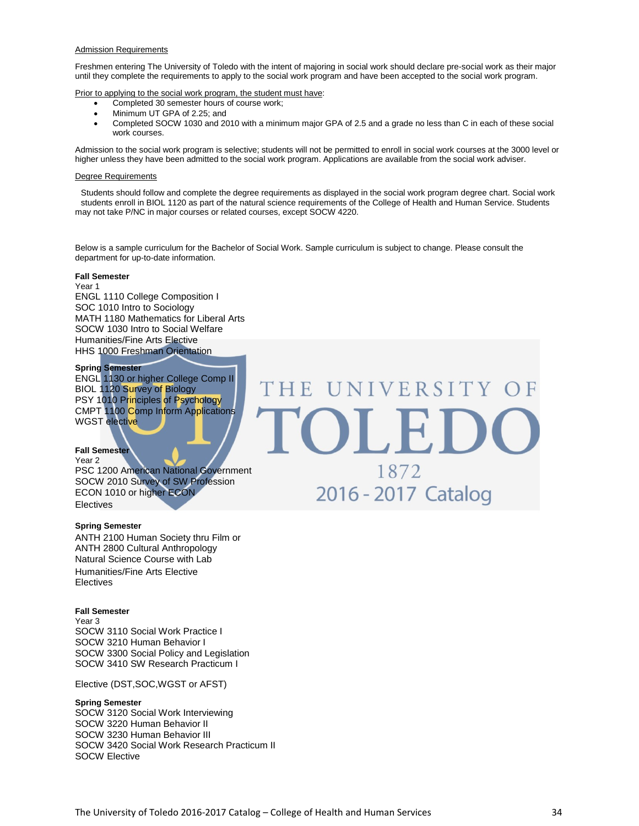#### Admission Requirements

Freshmen entering The University of Toledo with the intent of majoring in social work should declare pre-social work as their major until they complete the requirements to apply to the social work program and have been accepted to the social work program.

Prior to applying to the social work program, the student must have:

- Completed 30 semester hours of course work;
- Minimum UT GPA of 2.25; and
- Completed SOCW 1030 and 2010 with a minimum major GPA of 2.5 and a grade no less than C in each of these social work courses.

Admission to the social work program is selective; students will not be permitted to enroll in social work courses at the 3000 level or higher unless they have been admitted to the social work program. Applications are available from the social work adviser.

#### Degree Requirements

Students should follow and complete the degree requirements as displayed in the social work program degree chart. Social work students enroll in BIOL 1120 as part of the natural science requirements of the College of Health and Human Service. Students may not take P/NC in major courses or related courses, except SOCW 4220.

Below is a sample curriculum for the Bachelor of Social Work. Sample curriculum is subject to change. Please consult the department for up-to-date information.

#### **Fall Semester**

Year 1 ENGL 1110 College Composition I SOC 1010 Intro to Sociology MATH 1180 Mathematics for Liberal Arts SOCW 1030 Intro to Social Welfare Humanities/Fine Arts Elective HHS 1000 Freshman Orientation

#### **Spring Semester**

ENGL 1130 or higher College Comp II BIOL 1120 Survey of Biology PSY 1010 Principles of Psychology CMPT 1100 Comp Inform Applications WGST elective

#### **Fall Semester**

Year 2 PSC 1200 American National Government SOCW 2010 Survey of SW Profession ECON 1010 or higher ECON **Electives** 

#### **Spring Semester**

ANTH 2100 Human Society thru Film or ANTH 2800 Cultural Anthropology Natural Science Course with Lab Humanities/Fine Arts Elective Electives

#### **Fall Semester**

Year 3 SOCW 3110 Social Work Practice I SOCW 3210 Human Behavior I SOCW 3300 Social Policy and Legislation SOCW 3410 SW Research Practicum I

Elective (DST,SOC,WGST or AFST)

#### **Spring Semester**

SOCW 3120 Social Work Interviewing SOCW 3220 Human Behavior II SOCW 3230 Human Behavior III SOCW 3420 Social Work Research Practicum II SOCW Elective

# THE UNIVERSITY OF OLEI 1872 2016 - 2017 Catalog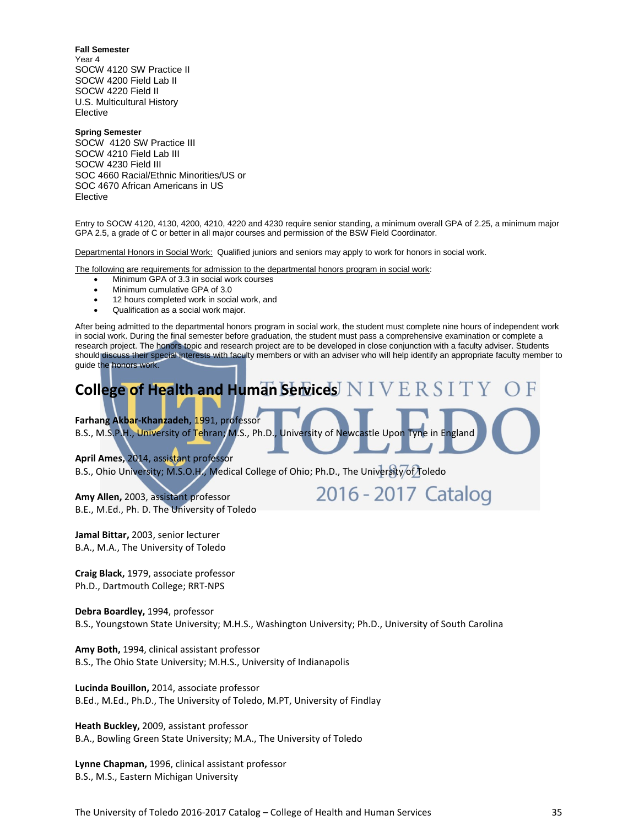**Fall Semester**

Year 4 SOCW 4120 SW Practice II SOCW 4200 Field Lab II SOCW 4220 Field II U.S. Multicultural History Elective

#### **Spring Semester**

SOCW 4120 SW Practice III SOCW 4210 Field Lab III SOCW 4230 Field III SOC 4660 Racial/Ethnic Minorities/US or SOC 4670 African Americans in US Elective

Entry to SOCW 4120, 4130, 4200, 4210, 4220 and 4230 require senior standing, a minimum overall GPA of 2.25, a minimum major GPA 2.5, a grade of C or better in all major courses and permission of the BSW Field Coordinator.

Departmental Honors in Social Work: Qualified juniors and seniors may apply to work for honors in social work.

The following are requirements for admission to the departmental honors program in social work:

- Minimum GPA of 3.3 in social work courses
- Minimum cumulative GPA of 3.0
- 12 hours completed work in social work, and
- Qualification as a social work major.

After being admitted to the departmental honors program in social work, the student must complete nine hours of independent work in social work. During the final semester before graduation, the student must pass a comprehensive examination or complete a research project. The honors topic and research project are to be developed in close conjunction with a faculty adviser. Students should discuss their special interests with faculty members or with an adviser who will help identify an appropriate faculty member to guide the honors work.



**Farhang Akbar-Khanzadeh,** 1991, professor

B.S., M.S.P.H., University of Tehran; M.S., Ph.D., University of Newcastle Upon Tyne in England

**April Ames,** 2014, assistant professor

B.S., Ohio University; M.S.O.H., Medical College of Ohio; Ph.D., The University of Toledo

**Amy Allen,** 2003, assistant professor B.E., M.Ed., Ph. D. The University of Toledo 2016 - 2017 Catalog

**Jamal Bittar,** 2003, senior lecturer B.A., M.A., The University of Toledo

**Craig Black,** 1979, associate professor Ph.D., Dartmouth College; RRT-NPS

**Debra Boardley,** 1994, professor B.S., Youngstown State University; M.H.S., Washington University; Ph.D., University of South Carolina

**Amy Both,** 1994, clinical assistant professor B.S., The Ohio State University; M.H.S., University of Indianapolis

**Lucinda Bouillon,** 2014, associate professor B.Ed., M.Ed., Ph.D., The University of Toledo, M.PT, University of Findlay

**Heath Buckley,** 2009, assistant professor B.A., Bowling Green State University; M.A., The University of Toledo

**Lynne Chapman,** 1996, clinical assistant professor B.S., M.S., Eastern Michigan University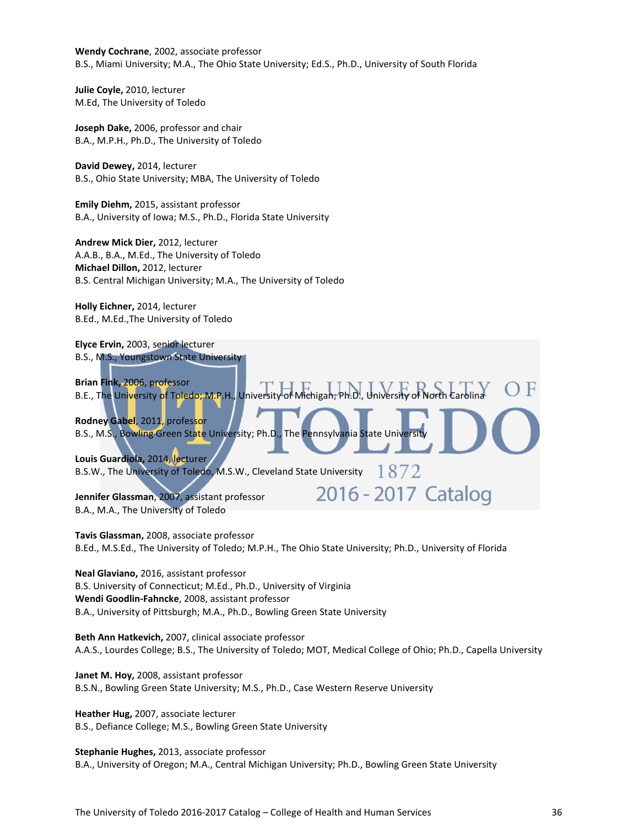**Wendy Cochrane**, 2002, associate professor B.S., Miami University; M.A., The Ohio State University; Ed.S., Ph.D., University of South Florida

**Julie Coyle,** 2010, lecturer M.Ed, The University of Toledo

**Joseph Dake,** 2006, professor and chair B.A., M.P.H., Ph.D., The University of Toledo

**David Dewey,** 2014, lecturer B.S., Ohio State University; MBA, The University of Toledo

**Emily Diehm,** 2015, assistant professor B.A., University of Iowa; M.S., Ph.D., Florida State University

**Andrew Mick Dier,** 2012, lecturer A.A.B., B.A., M.Ed., The University of Toledo **Michael Dillon,** 2012, lecturer B.S. Central Michigan University; M.A., The University of Toledo

**Holly Eichner,** 2014, lecturer B.Ed., M.Ed.,The University of Toledo

**Elyce Ervin,** 2003, senior lecturer B.S., M.S., Youngstown State University **Brian Fink,** 2006, professor B.E., The University of Toledo; M.P.H., University of Michigan; Ph.D., University of North **Rodney Gabel**, 2011, professor B.S., M.S., Bowling Green State University; Ph.D., The Pennsylvania State Universit **Louis Guardiola,** 2014, lecturer 1872 B.S.W., The University of Toledo, M.S.W., Cleveland State University 2016 - 2017 Catalog **Jennifer Glassman**, 2007, assistant professor B.A., M.A., The University of Toledo

**Tavis Glassman,** 2008, associate professor B.Ed., M.S.Ed., The University of Toledo; M.P.H., The Ohio State University; Ph.D., University of Florida

**Neal Glaviano,** 2016, assistant professor B.S. University of Connecticut; M.Ed., Ph.D., University of Virginia **Wendi Goodlin-Fahncke**, 2008, assistant professor B.A., University of Pittsburgh; M.A., Ph.D., Bowling Green State University

**Beth Ann Hatkevich,** 2007, clinical associate professor A.A.S., Lourdes College; B.S., The University of Toledo; MOT, Medical College of Ohio; Ph.D., Capella University

**Janet M. Hoy,** 2008, assistant professor B.S.N., Bowling Green State University; M.S., Ph.D., Case Western Reserve University

**Heather Hug,** 2007, associate lecturer B.S., Defiance College; M.S., Bowling Green State University

**Stephanie Hughes,** 2013, associate professor B.A., University of Oregon; M.A., Central Michigan University; Ph.D., Bowling Green State University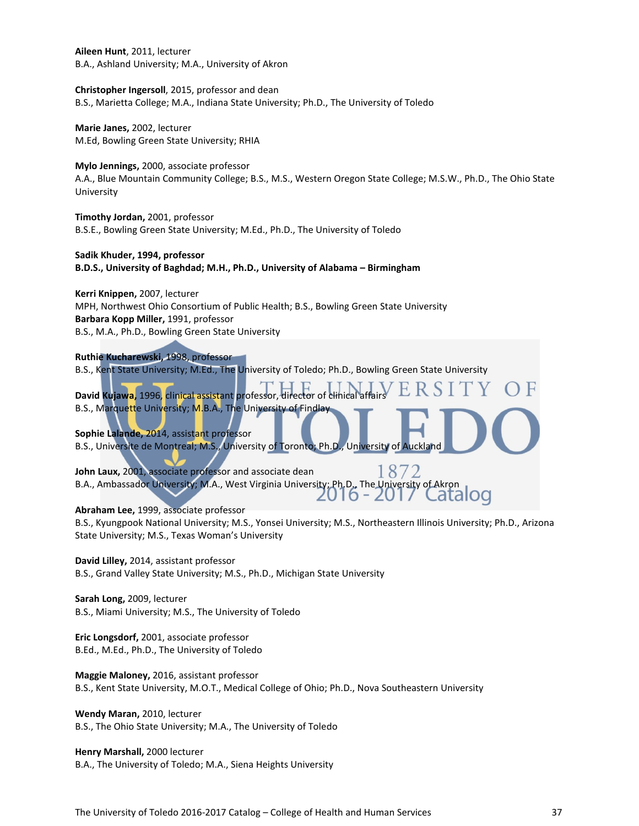**Aileen Hunt**, 2011, lecturer B.A., Ashland University; M.A., University of Akron

**Christopher Ingersoll**, 2015, professor and dean B.S., Marietta College; M.A., Indiana State University; Ph.D., The University of Toledo

**Marie Janes,** 2002, lecturer M.Ed, Bowling Green State University; RHIA

**Mylo Jennings,** 2000, associate professor A.A., Blue Mountain Community College; B.S., M.S., Western Oregon State College; M.S.W., Ph.D., The Ohio State University

**Timothy Jordan,** 2001, professor B.S.E., Bowling Green State University; M.Ed., Ph.D., The University of Toledo

**Sadik Khuder, 1994, professor B.D.S., University of Baghdad; M.H., Ph.D., University of Alabama – Birmingham**

**Kerri Knippen,** 2007, lecturer MPH, Northwest Ohio Consortium of Public Health; B.S., Bowling Green State University **Barbara Kopp Miller,** 1991, professor B.S., M.A., Ph.D., Bowling Green State University

**Ruthie Kucharewski,** 1998, professor

B.S., Kent State University; M.Ed., The University of Toledo; Ph.D., Bowling Green State University

David Kujawa, 1996, clinical assistant professor, director of clinica B.S., Marquette University; M.B.A., The University of Findla

**Sophie Lalande,** 2014, assistant professor B.S., Universite de Montreal; M.S., University of Toronto; Ph.D., University of Auckland

87 **John Laux,** 2001, associate professor and associate dean B.A., Ambassador University; M.A., West Virginia University; Ph.D., The University of Akron ZU 10 - ZU Latalog

**Abraham Lee,** 1999, associate professor

B.S., Kyungpook National University; M.S., Yonsei University; M.S., Northeastern Illinois University; Ph.D., Arizona State University; M.S., Texas Woman's University

**David Lilley,** 2014, assistant professor B.S., Grand Valley State University; M.S., Ph.D., Michigan State University

**Sarah Long,** 2009, lecturer B.S., Miami University; M.S., The University of Toledo

**Eric Longsdorf,** 2001, associate professor B.Ed., M.Ed., Ph.D., The University of Toledo

**Maggie Maloney,** 2016, assistant professor B.S., Kent State University, M.O.T., Medical College of Ohio; Ph.D., Nova Southeastern University

**Wendy Maran,** 2010, lecturer B.S., The Ohio State University; M.A., The University of Toledo

**Henry Marshall,** 2000 lecturer B.A., The University of Toledo; M.A., Siena Heights University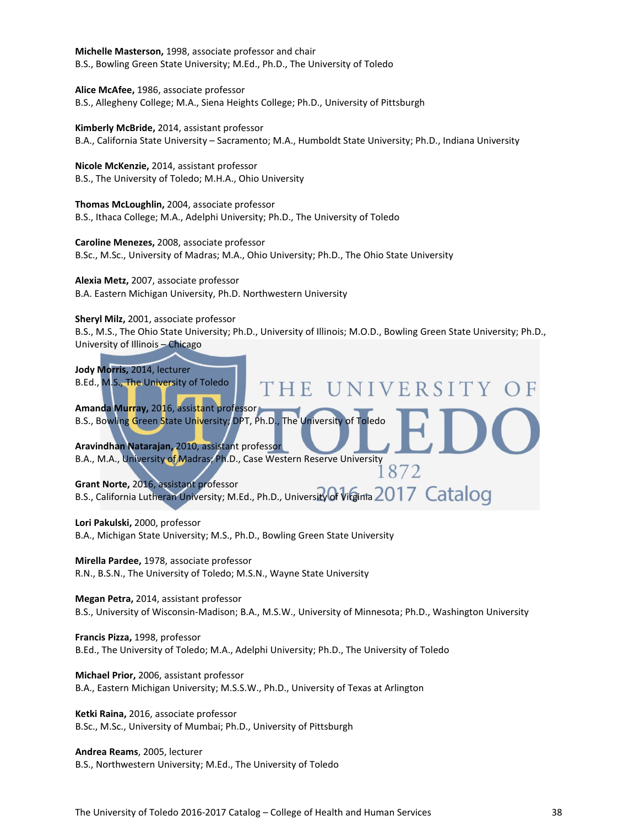**Michelle Masterson,** 1998, associate professor and chair B.S., Bowling Green State University; M.Ed., Ph.D., The University of Toledo

**Alice McAfee,** 1986, associate professor B.S., Allegheny College; M.A., Siena Heights College; Ph.D., University of Pittsburgh

**Kimberly McBride,** 2014, assistant professor B.A., California State University – Sacramento; M.A., Humboldt State University; Ph.D., Indiana University

**Nicole McKenzie,** 2014, assistant professor B.S., The University of Toledo; M.H.A., Ohio University

**Thomas McLoughlin,** 2004, associate professor B.S., Ithaca College; M.A., Adelphi University; Ph.D., The University of Toledo

**Caroline Menezes,** 2008, associate professor B.Sc., M.Sc., University of Madras; M.A., Ohio University; Ph.D., The Ohio State University

**Alexia Metz,** 2007, associate professor B.A. Eastern Michigan University, Ph.D. Northwestern University

**Sheryl Milz,** 2001, associate professor B.S., M.S., The Ohio State University; Ph.D., University of Illinois; M.O.D., Bowling Green State University; Ph.D., University of Illinois – Chicago



**Lori Pakulski,** 2000, professor

B.A., Michigan State University; M.S., Ph.D., Bowling Green State University

**Mirella Pardee,** 1978, associate professor R.N., B.S.N., The University of Toledo; M.S.N., Wayne State University

**Megan Petra,** 2014, assistant professor B.S., University of Wisconsin-Madison; B.A., M.S.W., University of Minnesota; Ph.D., Washington University

**Francis Pizza,** 1998, professor B.Ed., The University of Toledo; M.A., Adelphi University; Ph.D., The University of Toledo

**Michael Prior,** 2006, assistant professor B.A., Eastern Michigan University; M.S.S.W., Ph.D., University of Texas at Arlington

**Ketki Raina,** 2016, associate professor B.Sc., M.Sc., University of Mumbai; Ph.D., University of Pittsburgh

**Andrea Reams**, 2005, lecturer B.S., Northwestern University; M.Ed., The University of Toledo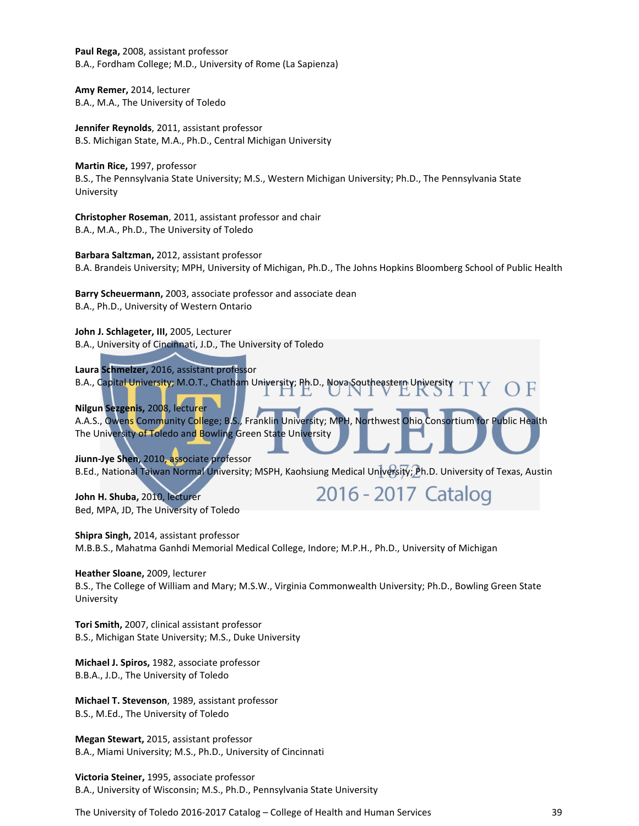**Paul Rega,** 2008, assistant professor B.A., Fordham College; M.D., University of Rome (La Sapienza)

**Amy Remer,** 2014, lecturer B.A., M.A., The University of Toledo

**Jennifer Reynolds**, 2011, assistant professor B.S. Michigan State, M.A., Ph.D., Central Michigan University

**Martin Rice,** 1997, professor B.S., The Pennsylvania State University; M.S., Western Michigan University; Ph.D., The Pennsylvania State University

**Christopher Roseman**, 2011, assistant professor and chair B.A., M.A., Ph.D., The University of Toledo

**Barbara Saltzman,** 2012, assistant professor B.A. Brandeis University; MPH, University of Michigan, Ph.D., The Johns Hopkins Bloomberg School of Public Health

**Barry Scheuermann,** 2003, associate professor and associate dean B.A., Ph.D., University of Western Ontario

**John J. Schlageter, III,** 2005, Lecturer B.A., University of Cincinnati, J.D., The University of Toledo

**Laura Schmelzer,** 2016, assistant professor B.A., Capital University; M.O.T., Chatham University; Ph.D., Nova Southeastern University

**Nilgun Sezgenis,** 2008, lecturer A.A.S., Owens Community College; B.S., Franklin University; MPH, Northwest Ohio Consortium for Public Health The University of Toledo and Bowling Green State University

**Jiunn-Jye Shen,** 2010, associate professor B.Ed., National Taiwan Normal University; MSPH, Kaohsiung Medical University; Ph.D. University of Texas, Austin

2016 - 2017 Catalog

**John H. Shuba,** 2010, lecturer Bed, MPA, JD, The University of Toledo

**Shipra Singh,** 2014, assistant professor M.B.B.S., Mahatma Ganhdi Memorial Medical College, Indore; M.P.H., Ph.D., University of Michigan

### **Heather Sloane,** 2009, lecturer

B.S., The College of William and Mary; M.S.W., Virginia Commonwealth University; Ph.D., Bowling Green State University

**Tori Smith,** 2007, clinical assistant professor B.S., Michigan State University; M.S., Duke University

**Michael J. Spiros,** 1982, associate professor B.B.A., J.D., The University of Toledo

**Michael T. Stevenson**, 1989, assistant professor B.S., M.Ed., The University of Toledo

**Megan Stewart,** 2015, assistant professor B.A., Miami University; M.S., Ph.D., University of Cincinnati

**Victoria Steiner,** 1995, associate professor B.A., University of Wisconsin; M.S., Ph.D., Pennsylvania State University

The University of Toledo 2016-2017 Catalog – College of Health and Human Services 39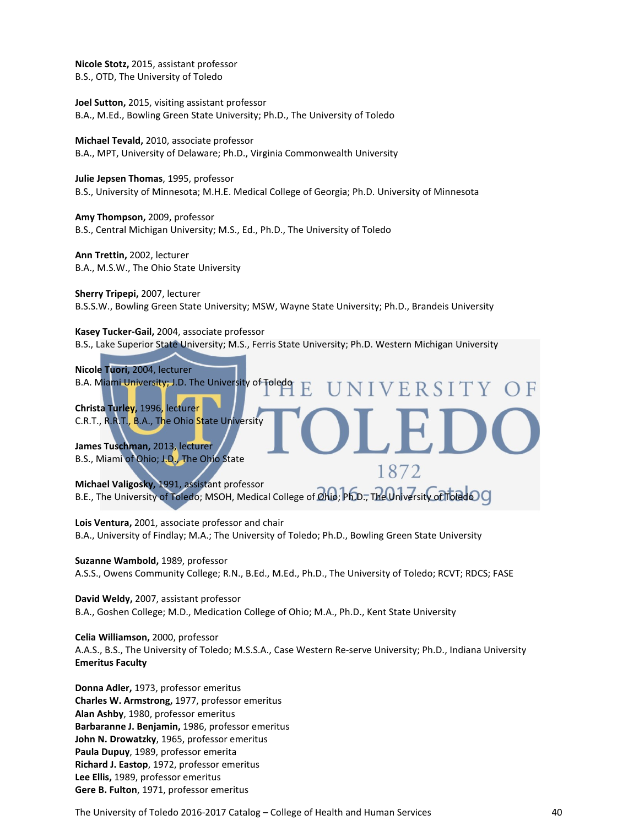**Nicole Stotz,** 2015, assistant professor B.S., OTD, The University of Toledo

**Joel Sutton,** 2015, visiting assistant professor B.A., M.Ed., Bowling Green State University; Ph.D., The University of Toledo

**Michael Tevald,** 2010, associate professor B.A., MPT, University of Delaware; Ph.D., Virginia Commonwealth University

**Julie Jepsen Thomas**, 1995, professor B.S., University of Minnesota; M.H.E. Medical College of Georgia; Ph.D. University of Minnesota

**Amy Thompson,** 2009, professor B.S., Central Michigan University; M.S., Ed., Ph.D., The University of Toledo

**Ann Trettin,** 2002, lecturer B.A., M.S.W., The Ohio State University

**Sherry Tripepi,** 2007, lecturer B.S.S.W., Bowling Green State University; MSW, Wayne State University; Ph.D., Brandeis University

**Kasey Tucker-Gail,** 2004, associate professor B.S., Lake Superior State University; M.S., Ferris State University; Ph.D. Western Michigan University

IVERSITY

1872

**Nicole Tuori,** 2004, lecturer B.A. Miami University; J.D. The University of Toledo

**Christa Turley,** 1996, lecturer C.R.T., R.R.T., B.A., The Ohio State University

**James Tuschman,** 2013, lecturer B.S., Miami of Ohio; J.D., The Ohio State

**Michael Valigosky,** 1991, assistant professor B.E., The University of Toledo; MSOH, Medical College of **Ohio**; **Ph.D., The University of Toledo O** 

**Lois Ventura,** 2001, associate professor and chair B.A., University of Findlay; M.A.; The University of Toledo; Ph.D., Bowling Green State University

**Suzanne Wambold,** 1989, professor A.S.S., Owens Community College; R.N., B.Ed., M.Ed., Ph.D., The University of Toledo; RCVT; RDCS; FASE

**David Weldy,** 2007, assistant professor B.A., Goshen College; M.D., Medication College of Ohio; M.A., Ph.D., Kent State University

**Celia Williamson,** 2000, professor A.A.S., B.S., The University of Toledo; M.S.S.A., Case Western Re-serve University; Ph.D., Indiana University **Emeritus Faculty**

**Donna Adler,** 1973, professor emeritus **Charles W. Armstrong,** 1977, professor emeritus **Alan Ashby**, 1980, professor emeritus **Barbaranne J. Benjamin,** 1986, professor emeritus **John N. Drowatzky**, 1965, professor emeritus **Paula Dupuy**, 1989, professor emerita **Richard J. Eastop**, 1972, professor emeritus **Lee Ellis,** 1989, professor emeritus **Gere B. Fulton**, 1971, professor emeritus

The University of Toledo 2016-2017 Catalog – College of Health and Human Services 40